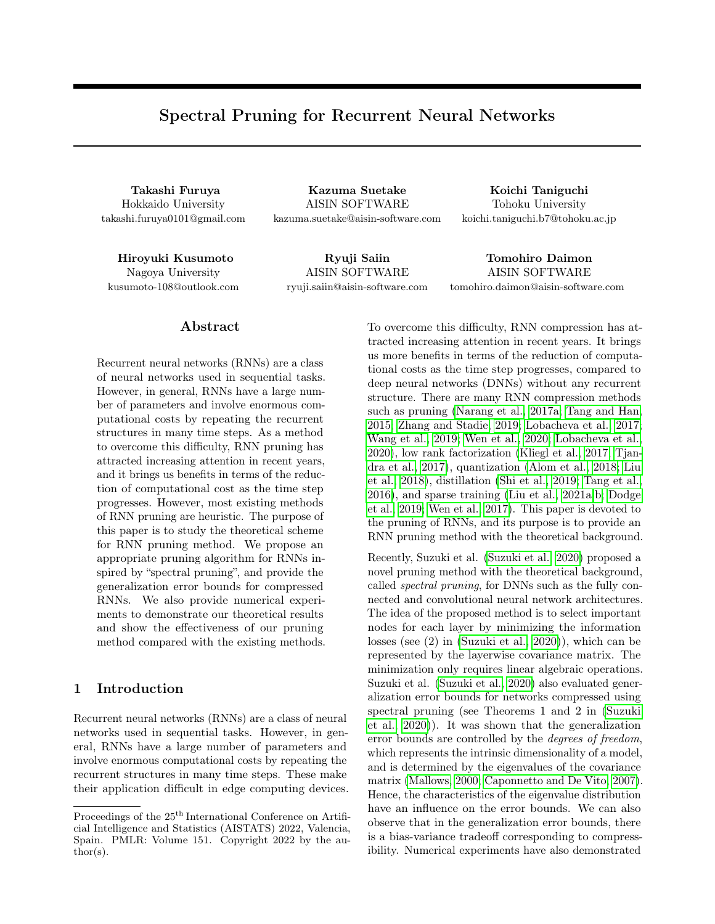# Spectral Pruning for Recurrent Neural Networks

Hokkaido University takashi.furuya0101@gmail.com

Takashi Furuya Kazuma Suetake Koichi Taniguchi AISIN SOFTWARE kazuma.suetake@aisin-software.com

Tohoku University koichi.taniguchi.b7@tohoku.ac.jp

Nagoya University kusumoto-108@outlook.com

Hiroyuki Kusumoto Ryuji Saiin Tomohiro Daimon AISIN SOFTWARE ryuji.saiin@aisin-software.com

AISIN SOFTWARE tomohiro.daimon@aisin-software.com

## Abstract

Recurrent neural networks (RNNs) are a class of neural networks used in sequential tasks. However, in general, RNNs have a large number of parameters and involve enormous computational costs by repeating the recurrent structures in many time steps. As a method to overcome this difficulty, RNN pruning has attracted increasing attention in recent years, and it brings us benefits in terms of the reduction of computational cost as the time step progresses. However, most existing methods of RNN pruning are heuristic. The purpose of this paper is to study the theoretical scheme for RNN pruning method. We propose an appropriate pruning algorithm for RNNs inspired by "spectral pruning", and provide the generalization error bounds for compressed RNNs. We also provide numerical experiments to demonstrate our theoretical results and show the effectiveness of our pruning method compared with the existing methods.

#### 1 Introduction

Recurrent neural networks (RNNs) are a class of neural networks used in sequential tasks. However, in general, RNNs have a large number of parameters and involve enormous computational costs by repeating the recurrent structures in many time steps. These make their application difficult in edge computing devices. To overcome this difficulty, RNN compression has attracted increasing attention in recent years. It brings us more benefits in terms of the reduction of computational costs as the time step progresses, compared to deep neural networks (DNNs) without any recurrent structure. There are many RNN compression methods such as pruning [\(Narang et al., 2017a;](#page-9-0) [Tang and Han,](#page-10-0) [2015;](#page-10-0) [Zhang and Stadie, 2019;](#page-10-1) [Lobacheva et al., 2017;](#page-9-1) [Wang et al., 2019;](#page-10-2) [Wen et al., 2020;](#page-10-3) [Lobacheva et al.,](#page-9-2) [2020\)](#page-9-2), low rank factorization [\(Kliegl et al., 2017;](#page-9-3) [Tjan](#page-10-4)[dra et al., 2017\)](#page-10-4), quantization [\(Alom et al., 2018;](#page-8-0) [Liu](#page-9-4) [et al., 2018\)](#page-9-4), distillation [\(Shi et al., 2019;](#page-10-5) [Tang et al.,](#page-10-6) [2016\)](#page-10-6), and sparse training [\(Liu et al., 2021a,](#page-9-5)[b;](#page-9-6) [Dodge](#page-9-7) [et al., 2019;](#page-9-7) [Wen et al., 2017\)](#page-10-7). This paper is devoted to the pruning of RNNs, and its purpose is to provide an RNN pruning method with the theoretical background.

Recently, Suzuki et al. [\(Suzuki et al., 2020\)](#page-10-8) proposed a novel pruning method with the theoretical background, called spectral pruning, for DNNs such as the fully connected and convolutional neural network architectures. The idea of the proposed method is to select important nodes for each layer by minimizing the information losses (see (2) in [\(Suzuki et al., 2020\)](#page-10-8)), which can be represented by the layerwise covariance matrix. The minimization only requires linear algebraic operations. Suzuki et al. [\(Suzuki et al., 2020\)](#page-10-8) also evaluated generalization error bounds for networks compressed using spectral pruning (see Theorems 1 and 2 in [\(Suzuki](#page-10-8) [et al., 2020\)](#page-10-8)). It was shown that the generalization error bounds are controlled by the degrees of freedom, which represents the intrinsic dimensionality of a model, and is determined by the eigenvalues of the covariance matrix [\(Mallows, 2000;](#page-9-8) [Caponnetto and De Vito, 2007\)](#page-9-9). Hence, the characteristics of the eigenvalue distribution have an influence on the error bounds. We can also observe that in the generalization error bounds, there is a bias-variance tradeoff corresponding to compressibility. Numerical experiments have also demonstrated

Proceedings of the  $25^{\mathrm{th}}$  International Conference on Artificial Intelligence and Statistics (AISTATS) 2022, Valencia, Spain. PMLR: Volume 151. Copyright 2022 by the au- $\text{thor}(s)$ .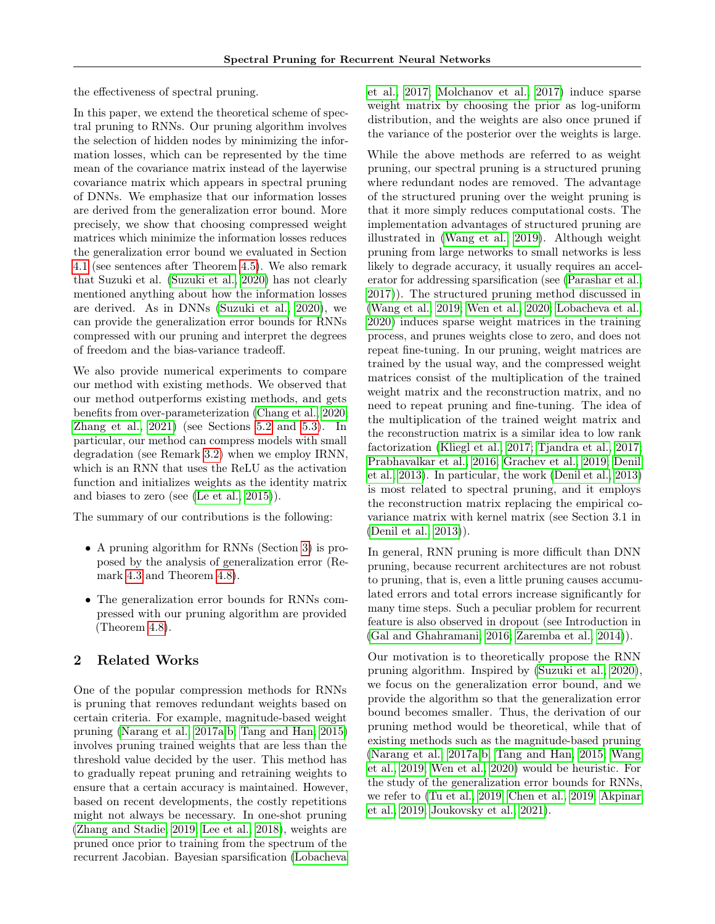the effectiveness of spectral pruning.

In this paper, we extend the theoretical scheme of spectral pruning to RNNs. Our pruning algorithm involves the selection of hidden nodes by minimizing the information losses, which can be represented by the time mean of the covariance matrix instead of the layerwise covariance matrix which appears in spectral pruning of DNNs. We emphasize that our information losses are derived from the generalization error bound. More precisely, we show that choosing compressed weight matrices which minimize the information losses reduces the generalization error bound we evaluated in Section [4.1](#page-4-0) (see sentences after Theorem [4.5\)](#page-5-0). We also remark that Suzuki et al. [\(Suzuki et al., 2020\)](#page-10-8) has not clearly mentioned anything about how the information losses are derived. As in DNNs [\(Suzuki et al., 2020\)](#page-10-8), we can provide the generalization error bounds for RNNs compressed with our pruning and interpret the degrees of freedom and the bias-variance tradeoff.

We also provide numerical experiments to compare our method with existing methods. We observed that our method outperforms existing methods, and gets benefits from over-parameterization [\(Chang et al., 2020;](#page-9-10) [Zhang et al., 2021\)](#page-10-9) (see Sections [5.2](#page-6-0) and [5.3\)](#page-8-1). In particular, our method can compress models with small degradation (see Remark [3.2\)](#page-3-0) when we employ IRNN, which is an RNN that uses the ReLU as the activation function and initializes weights as the identity matrix and biases to zero (see [\(Le et al., 2015\)](#page-9-11)).

The summary of our contributions is the following:

- A pruning algorithm for RNNs (Section [3\)](#page-2-0) is proposed by the analysis of generalization error (Remark [4.3](#page-4-1) and Theorem [4.8\)](#page-6-1).
- The generalization error bounds for RNNs compressed with our pruning algorithm are provided (Theorem [4.8\)](#page-6-1).

# 2 Related Works

One of the popular compression methods for RNNs is pruning that removes redundant weights based on certain criteria. For example, magnitude-based weight pruning [\(Narang et al., 2017a,](#page-9-0)[b;](#page-10-10) [Tang and Han, 2015\)](#page-10-0) involves pruning trained weights that are less than the threshold value decided by the user. This method has to gradually repeat pruning and retraining weights to ensure that a certain accuracy is maintained. However, based on recent developments, the costly repetitions might not always be necessary. In one-shot pruning [\(Zhang and Stadie, 2019;](#page-10-1) [Lee et al., 2018\)](#page-9-12), weights are pruned once prior to training from the spectrum of the recurrent Jacobian. Bayesian sparsification [\(Lobacheva](#page-9-1) [et al., 2017;](#page-9-1) [Molchanov et al., 2017\)](#page-9-13) induce sparse weight matrix by choosing the prior as log-uniform distribution, and the weights are also once pruned if the variance of the posterior over the weights is large.

While the above methods are referred to as weight pruning, our spectral pruning is a structured pruning where redundant nodes are removed. The advantage of the structured pruning over the weight pruning is that it more simply reduces computational costs. The implementation advantages of structured pruning are illustrated in [\(Wang et al., 2019\)](#page-10-2). Although weight pruning from large networks to small networks is less likely to degrade accuracy, it usually requires an accelerator for addressing sparsification (see [\(Parashar et al.,](#page-10-11) [2017\)](#page-10-11)). The structured pruning method discussed in [\(Wang et al., 2019;](#page-10-2) [Wen et al., 2020;](#page-10-3) [Lobacheva et al.,](#page-9-2) [2020\)](#page-9-2) induces sparse weight matrices in the training process, and prunes weights close to zero, and does not repeat fine-tuning. In our pruning, weight matrices are trained by the usual way, and the compressed weight matrices consist of the multiplication of the trained weight matrix and the reconstruction matrix, and no need to repeat pruning and fine-tuning. The idea of the multiplication of the trained weight matrix and the reconstruction matrix is a similar idea to low rank factorization [\(Kliegl et al., 2017;](#page-9-3) [Tjandra et al., 2017;](#page-10-4) [Prabhavalkar et al., 2016;](#page-10-12) [Grachev et al., 2019;](#page-9-14) [Denil](#page-9-15) [et al., 2013\)](#page-9-15). In particular, the work [\(Denil et al., 2013\)](#page-9-15) is most related to spectral pruning, and it employs the reconstruction matrix replacing the empirical covariance matrix with kernel matrix (see Section 3.1 in [\(Denil et al., 2013\)](#page-9-15)).

In general, RNN pruning is more difficult than DNN pruning, because recurrent architectures are not robust to pruning, that is, even a little pruning causes accumulated errors and total errors increase significantly for many time steps. Such a peculiar problem for recurrent feature is also observed in dropout (see Introduction in [\(Gal and Ghahramani, 2016;](#page-9-16) [Zaremba et al., 2014\)](#page-10-13)).

Our motivation is to theoretically propose the RNN pruning algorithm. Inspired by [\(Suzuki et al., 2020\)](#page-10-8), we focus on the generalization error bound, and we provide the algorithm so that the generalization error bound becomes smaller. Thus, the derivation of our pruning method would be theoretical, while that of existing methods such as the magnitude-based pruning [\(Narang et al., 2017a,](#page-9-0)[b;](#page-10-10) [Tang and Han, 2015;](#page-10-0) [Wang](#page-10-2) [et al., 2019;](#page-10-2) [Wen et al., 2020\)](#page-10-3) would be heuristic. For the study of the generalization error bounds for RNNs, we refer to [\(Tu et al., 2019;](#page-10-14) [Chen et al., 2019;](#page-9-17) [Akpinar](#page-8-2) [et al., 2019;](#page-8-2) [Joukovsky et al., 2021\)](#page-9-18).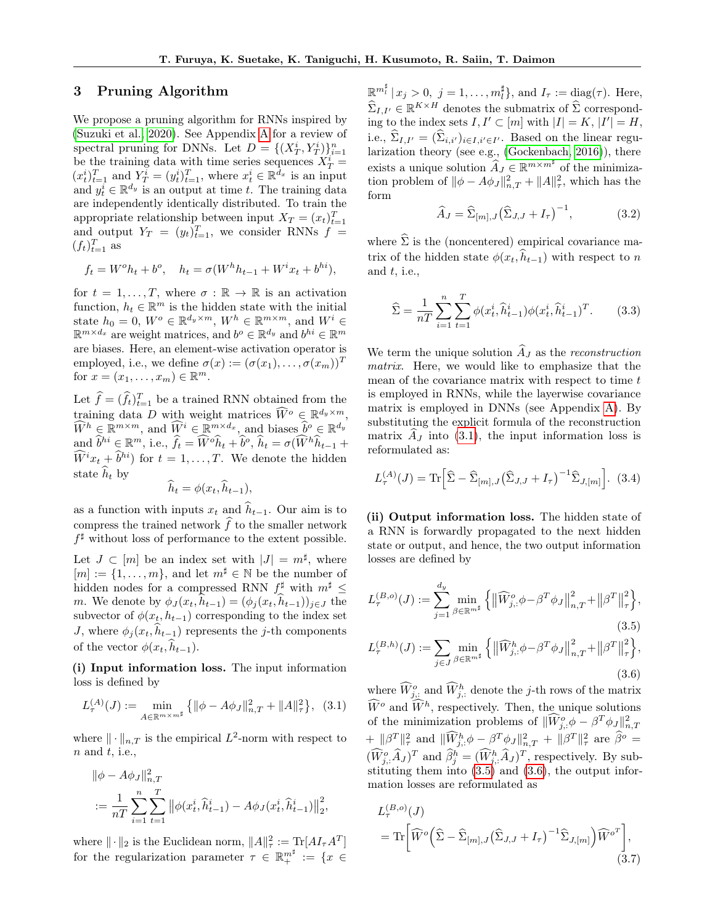#### <span id="page-2-0"></span>3 Pruning Algorithm

We propose a pruning algorithm for RNNs inspired by [\(Suzuki et al., 2020\)](#page-10-8). See Appendix [A](#page-11-0) for a review of spectral pruning for DNNs. Let  $D = \{(X_T^i, Y_T^i)\}_{i=1}^n$ be the training data with time series sequences  $X_T^i =$  $(x_t^i)_{t=1}^T$  and  $Y_T^i = (y_t^i)_{t=1}^T$ , where  $x_t^i \in \mathbb{R}^{\bar{d}_x}$  is an input and  $y_t^i \in \mathbb{R}^{d_y}$  is an output at time t. The training data are independently identically distributed. To train the appropriate relationship between input  $X_T = (x_t)_{t=1}^T$ and output  $Y_T = (y_t)_{t=1}^T$ , we consider RNNs  $f =$  $(f_t)_{t=1}^T$  as

$$
f_t = W^o h_t + b^o
$$
,  $h_t = \sigma(W^h h_{t-1} + W^i x_t + b^{hi})$ ,

for  $t = 1, \ldots, T$ , where  $\sigma : \mathbb{R} \to \mathbb{R}$  is an activation function,  $h_t \in \mathbb{R}^m$  is the hidden state with the initial state  $h_0 = 0$ ,  $W^o \in \mathbb{R}^{d_y \times m}$ ,  $W^h \in \mathbb{R}^{m \times m}$ , and  $W^i \in$  $\mathbb{R}^{m \times d_x}$  are weight matrices, and  $b^o \in \mathbb{R}^{d_y}$  and  $b^{hi} \in \mathbb{R}^m$ are biases. Here, an element-wise activation operator is employed, i.e., we define  $\sigma(x) := (\sigma(x_1), \ldots, \sigma(x_m))^T$ for  $x = (x_1, \ldots, x_m) \in \mathbb{R}^m$ .

Let  $\hat{f} = (\hat{f}_t)_{t=1}^T$  be a trained RNN obtained from the training data D with weight matrices  $\widehat{W}^o \in \mathbb{R}^{d_y \times m}$ ,  $\widehat{W}^h \in \mathbb{R}^{m \times m}$ , and  $\widehat{W}^i \in \mathbb{R}^{m \times d_x}$ , and biases  $\widehat{b}^o \in \mathbb{R}^{d_y}$ and  $\widehat{b}^{hi} \in \mathbb{R}^m$ , i.e.,  $\widehat{f}_t = \widehat{W}^o \widehat{h}_t + \widehat{b}^o$ ,  $\widehat{h}_t = \sigma(\widehat{W}^h \widehat{h}_{t-1} + \widehat{b}^o)$  $\widehat{W}^{i}x_{t} + \widehat{b}^{hi}$  for  $t = 1, \ldots, T$ . We denote the hidden state  $\hat{h}_t$  by

$$
h_t = \phi(x_t, h_{t-1}),
$$

as a function with inputs  $x_t$  and  $\hat{h}_{t-1}$ . Our aim is to compress the trained network  $\widehat{f}$  to the smaller network  $f^{\sharp}$  without loss of performance to the extent possible.

Let  $J \subset [m]$  be an index set with  $|J| = m^{\sharp}$ , where  $[m] := \{1, \ldots, m\}$ , and let  $m^{\sharp} \in \mathbb{N}$  be the number of hidden nodes for a compressed RNN  $f^{\sharp}$  with  $m^{\sharp} \leq$ m. We denote by  $\phi_J(x_t, h_{t-1}) = (\phi_j(x_t, h_{t-1}))_{j \in J}$  the subvector of  $\phi(x_t, h_{t-1})$  corresponding to the index set J, where  $\phi_j(x_t, h_{t-1})$  represents the j-th components of the vector  $\phi(x_t, \hat{h}_{t-1})$ .

(i) Input information loss. The input information loss is defined by

<span id="page-2-1"></span>
$$
L_{\tau}^{(A)}(J) := \min_{A \in \mathbb{R}^{m \times m^{\sharp}}} \left\{ \|\phi - A\phi_{J}\|_{n,T}^{2} + \|A\|_{\tau}^{2} \right\}, \tag{3.1}
$$

where  $\|\cdot\|_{n,T}$  is the empirical  $L^2$ -norm with respect to  $n$  and  $t$ , i.e.,

$$
\|\phi - A\phi_J\|_{n,T}^2
$$
  
:=  $\frac{1}{nT} \sum_{i=1}^n \sum_{t=1}^T \|\phi(x_t^i, \hat{h}_{t-1}^i) - A\phi_J(x_t^i, \hat{h}_{t-1}^i)\|_2^2$ ,

where  $\|\cdot\|_2$  is the Euclidean norm,  $\|A\|_{\tau}^2 := \text{Tr}[A I_{\tau} A^T]$ for the regularization parameter  $\tau \in \mathbb{R}^{m^{\sharp}}_+ := \{x \in$ 

 $\mathbb{R}^{m_l^{\sharp}} \mid x_j > 0, \ j = 1, \ldots, m_l^{\sharp} \}, \text{and } I_{\tau} := \text{diag}(\tau).$  Here,  $\widehat{\Sigma}_{I,I'} \in \mathbb{R}^{K \times H}$  denotes the submatrix of  $\widehat{\Sigma}$  corresponding to the index sets  $I, I' \subset [m]$  with  $|I| = K, |I'| = H$ , i.e.,  $\Sigma_{I,I'} = (\Sigma_{i,i'})_{i \in I, i' \in I'}$ . Based on the linear regularization theory (see e.g., [\(Gockenbach, 2016\)](#page-9-19)), there exists a unique solution  $\widehat{A}_J \in \mathbb{R}^{m \times m^{\sharp}}$  of the minimization problem of  $\|\phi - A\phi_J\|_{n,T}^2 + \|A\|_{\tau}^2$ , which has the form

<span id="page-2-4"></span>
$$
\widehat{A}_J = \widehat{\Sigma}_{[m],J} \left(\widehat{\Sigma}_{J,J} + I_\tau\right)^{-1},\tag{3.2}
$$

where  $\widehat{\Sigma}$  is the (noncentered) empirical covariance matrix of the hidden state  $\phi(x_t, \hat{h}_{t-1})$  with respect to n and  $t$ , i.e.,

<span id="page-2-5"></span>
$$
\hat{\Sigma} = \frac{1}{nT} \sum_{i=1}^{n} \sum_{t=1}^{T} \phi(x_t^i, \hat{h}_{t-1}^i) \phi(x_t^i, \hat{h}_{t-1}^i)^T.
$$
 (3.3)

We term the unique solution  $\widehat{A}_J$  as the *reconstruction* matrix. Here, we would like to emphasize that the mean of the covariance matrix with respect to time t is employed in RNNs, while the layerwise covariance matrix is employed in DNNs (see Appendix [A\)](#page-11-0). By substituting the explicit formula of the reconstruction matrix  $A_J$  into [\(3.1\)](#page-2-1), the input information loss is reformulated as:

<span id="page-2-6"></span>
$$
L_{\tau}^{(A)}(J) = \text{Tr}\left[\hat{\Sigma} - \hat{\Sigma}_{[m],J}(\hat{\Sigma}_{J,J} + I_{\tau})^{-1} \hat{\Sigma}_{J,[m]}\right]. \tag{3.4}
$$

(ii) Output information loss. The hidden state of a RNN is forwardly propagated to the next hidden state or output, and hence, the two output information losses are defined by

<span id="page-2-2"></span>
$$
L_{\tau}^{(B,o)}(J) := \sum_{j=1}^{d_y} \min_{\beta \in \mathbb{R}^{m^{\sharp}}} \left\{ \left\| \widehat{W}_{j,\cdot}^{o} \phi - \beta^{T} \phi_{J} \right\|_{n,T}^{2} + \left\| \beta^{T} \right\|_{\tau}^{2} \right\},\tag{3.5}
$$

<span id="page-2-3"></span>
$$
L_{\tau}^{(B,h)}(J) := \sum_{j \in J} \min_{\beta \in \mathbb{R}^{m^{\sharp}}} \left\{ \left\| \widehat{W}_{j,:}^{h} \phi - \beta^{T} \phi_{J} \right\|_{n,T}^{2} + \left\| \beta^{T} \right\|_{\tau}^{2} \right\},\tag{3.6}
$$

where  $\widehat{W}_{j,:}^o$  and  $\widehat{W}_{j,:}^h$  denote the j-th rows of the matrix  $\widetilde{W}^o$  and  $\widetilde{W}^h$ , respectively. Then, the unique solutions of the minimization problems of  $\|\widehat{W}_{j}^o \phi - \beta^T \phi_j\|_{n,T}^2$  $+\|\beta^T\|_{\tau}^2$  and  $\|\widehat{W}_{j,:}^h \phi - \beta^T \phi_J\|_{n,T}^2 + \|\beta^T\|_{\tau}^2$  are  $\widehat{\beta}^o =$  $(\widehat{W}^o_j, \widehat{A}_J)^T$  and  $\widehat{\beta}^h_j = (\widehat{W}^h_j, \widehat{A}_J)^T$ , respectively. By substituting them into [\(3.5\)](#page-2-2) and [\(3.6\)](#page-2-3), the output information losses are reformulated as

<span id="page-2-7"></span>
$$
L_{\tau}^{(B,o)}(J)
$$
  
= Tr  $\left[\widehat{W}^o\left(\widehat{\Sigma} - \widehat{\Sigma}_{[m],J}(\widehat{\Sigma}_{J,J} + I_{\tau})^{-1} \widehat{\Sigma}_{J,[m]}\right) \widehat{W}^{o^T}\right],$   
(3.7)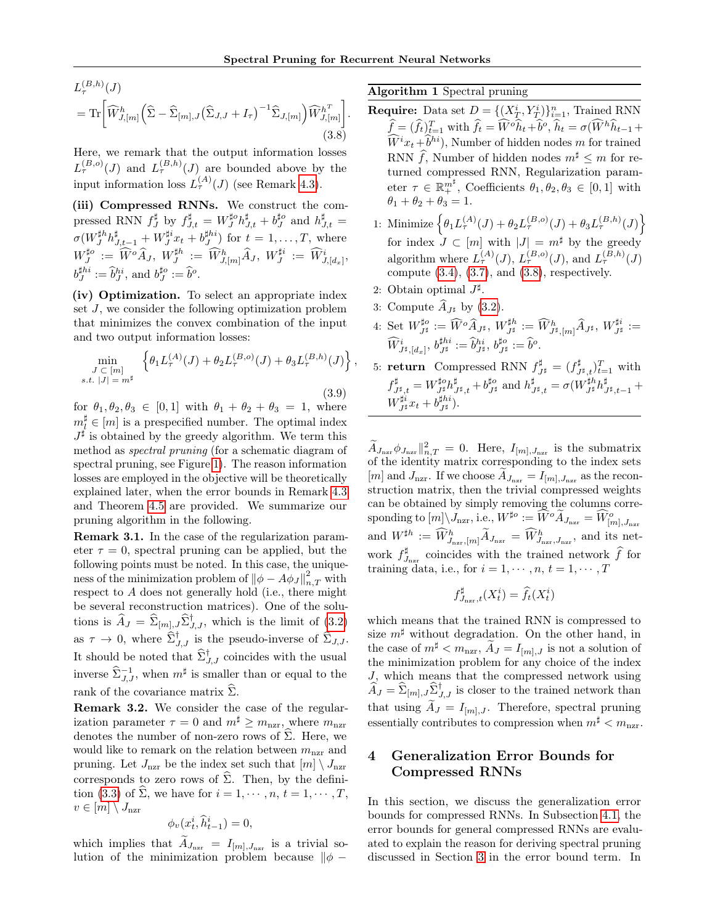<span id="page-3-1"></span>
$$
L_{\tau}^{(B,h)}(J)
$$
  
= Tr  $\left[\widehat{W}_{J,[m]}^h \left(\widehat{\Sigma} - \widehat{\Sigma}_{[m],J} (\widehat{\Sigma}_{J,J} + I_{\tau})^{-1} \widehat{\Sigma}_{J,[m]}\right) \widehat{W}_{J,[m]}^{h^T}\right].$   
(3.8)

Here, we remark that the output information losses  $L_{\tau}^{(B,o)}(J)$  and  $L_{\tau}^{(B,h)}(J)$  are bounded above by the input information loss  $L_{\tau}^{(A)}(J)$  (see Remark [4.3\)](#page-4-1).

(iii) Compressed RNNs. We construct the compressed RNN  $f_J^{\sharp}$  by  $f_{J,t}^{\sharp} = W_J^{\sharp o} h_{J,t}^{\sharp} + b_J^{\sharp o}$  and  $h_{J,t}^{\sharp} =$  $\sigma(W_J^{\sharp h} h_{J,t-1}^{\sharp} + W_J^{\sharp i} x_t + b_J^{\sharp hi})$  for  $t = 1, \ldots, T$ , where  $W^{\sharp o}_J \ := \ \widehat{W}^o \widehat{A}_J, \ W^{\sharp h}_J \ := \ \widehat{W}^h_{J,[m]} \widehat{A}_J, \ W^{\sharp i}_J \ := \ \widehat{W}^i_{J,[d_x]} ,$  $b_J^{\sharp hi} := \widehat{b}_J^{hi}$ , and  $b_J^{\sharp o} := \widehat{b}^o$ .

(iv) Optimization. To select an appropriate index set J, we consider the following optimization problem that minimizes the convex combination of the input and two output information losses:

<span id="page-3-2"></span>
$$
\min_{\substack{J \subset [m] \\ s.t. \; |J| = m^{\sharp}}} \left\{ \theta_1 L_{\tau}^{(A)}(J) + \theta_2 L_{\tau}^{(B,o)}(J) + \theta_3 L_{\tau}^{(B,h)}(J) \right\},\tag{3.9}
$$

for  $\theta_1, \theta_2, \theta_3 \in [0, 1]$  with  $\theta_1 + \theta_2 + \theta_3 = 1$ , where  $m_l^{\sharp} \in [m]$  is a prespecified number. The optimal index  $J^{\sharp}$  is obtained by the greedy algorithm. We term this method as spectral pruning (for a schematic diagram of spectral pruning, see Figure [1\)](#page-4-2). The reason information losses are employed in the objective will be theoretically explained later, when the error bounds in Remark [4.3](#page-4-1) and Theorem [4.5](#page-5-0) are provided. We summarize our pruning algorithm in the following.

Remark 3.1. In the case of the regularization parameter  $\tau = 0$ , spectral pruning can be applied, but the following points must be noted. In this case, the uniqueness of the minimization problem of  $\|\phi - A\phi_J\|_{n,T}^2$  with respect to A does not generally hold (i.e., there might be several reconstruction matrices). One of the solutions is  $\widehat{A}_J = \widehat{\Sigma}_{[m],J} \widehat{\Sigma}_{J,J}^{\dagger}$ , which is the limit of [\(3.2\)](#page-2-4) as  $\tau \to 0$ , where  $\hat{\Sigma}_{J, J}^{\dagger}$  is the pseudo-inverse of  $\hat{\Sigma}_{J, J}$ . It should be noted that  $\widehat{\Sigma}_{J,J}^{\dagger}$  coincides with the usual inverse  $\widehat{\Sigma}_{J,J}^{-1}$ , when  $m^{\sharp}$  is smaller than or equal to the rank of the covariance matrix  $\Sigma$ .

<span id="page-3-0"></span>Remark 3.2. We consider the case of the regularization parameter  $\tau = 0$  and  $m^{\sharp} \geq m_{\text{nzr}}$ , where  $m_{\text{nzr}}$ denotes the number of non-zero rows of  $\Sigma$ . Here, we would like to remark on the relation between  $m_{\text{nzr}}$  and pruning. Let  $J_{\text{nzr}}$  be the index set such that  $[m] \setminus J_{\text{nzr}}$ corresponds to zero rows of  $\Sigma$ . Then, by the defini-tion [\(3.3\)](#page-2-5) of  $\widehat{\Sigma}$ , we have for  $i = 1, \dots, n, t = 1, \dots, T$ ,  $v \in [m] \setminus J_{\text{nzr}}$ 

$$
\phi_v(x_t^i, \widehat{h}_{t-1}^i) = 0,
$$

which implies that  $A_{J_{\text{nzr}}} = I_{[m], J_{\text{nzr}}}$  is a trivial solution of the minimization problem because  $\|\phi - \phi\|$ 

Algorithm 1 Spectral pruning

- **Require:** Data set  $D = \{(X_T^i, Y_T^i)\}_{i=1}^n$ , Trained RNN  $\hat{f} = (\hat{f}_t)_{t=1}^T$  with  $\hat{f}_t = \hat{W}^o \hat{h}_t + \hat{b}^o$ ,  $\hat{h}_t = \sigma(\hat{W}^h \hat{h}_{t-1} + \hat{b}^o)$  $\widetilde{W}^{i}x_{t} + \widetilde{b}^{hi}$ , Number of hidden nodes m for trained RNN  $\widehat{f}$ , Number of hidden nodes  $m^{\sharp} \leq m$  for returned compressed RNN, Regularization parameter  $\tau \in \mathbb{R}^{m^{\sharp}}_+$ , Coefficients  $\theta_1, \theta_2, \theta_3 \in [0, 1]$  with  $\theta_1 + \theta_2 + \theta_3 = 1.$
- 1: Minimize  $\left\{\theta_1 L_{\tau}^{(A)}(J) + \theta_2 L_{\tau}^{(B,o)}(J) + \theta_3 L_{\tau}^{(B,h)}(J)\right\}$ for index  $J \subset [m]$  with  $|J| = m^{\sharp}$  by the greedy algorithm where  $L_{\tau}^{(A)}(J)$ ,  $L_{\tau}^{(B,o)}(J)$ , and  $L_{\tau}^{(B,h)}(J)$ compute  $(3.4)$ ,  $(3.7)$ , and  $(3.8)$ , respectively.
- 2: Obtain optimal  $J^{\sharp}$ .
- 3: Compute  $A_{J^{\sharp}}$  by [\(3.2\)](#page-2-4).
- $\Phi: \ \operatorname{Set} \ W^{\sharp o}_{J^{\sharp}}:= \widehat{W}^o \widehat{A}_{J^{\sharp}}, \ W^{\sharp h}_{J^{\sharp}}:= \widehat{W}^h_{J^{\sharp},[m]} \widehat{A}_{J^{\sharp}}, \ W^{\sharp i}_{J^{\sharp}}:=$  $\widehat{W}^i_{J^\sharp,[d_x]},\,b^{\sharp hi}_{J^\sharp}:=\widehat{b}^{hi}_{J^\sharp},\,b^{\sharp o}_{J^\sharp}:=\widehat{b}^o.$
- 5: **return** Compressed RNN  $f_{J^{\sharp}}^{\sharp} = (f_{J^{\sharp},t}^{\sharp})_{t=1}^{T}$  with  $f_{J^\sharp,t}^\sharp = W_{J^\sharp}^{\sharp o} h_{J^\sharp,t}^\sharp + b_{J^\sharp}^{\sharp o} \text{ and } h_{J^\sharp,t}^\sharp = \sigma (W_{J^\sharp}^{\sharp h} h_{J^\sharp,t-1}^\sharp + b_{J^\sharp}^{\sharp o} h_{J^\sharp,t-1}^\sharp)$  $W^{\sharp i}_{J^{\sharp}} x_t + b^{\sharp hi}_{J^{\sharp}}).$

 $\tilde{A}_{J_{\text{nzr}}}\phi_{J_{\text{nzr}}}||_{n,T}^2 = 0.$  Here,  $I_{[m], J_{\text{nzr}}}$  is the submatrix of the identity matrix corresponding to the index sets [*m*] and  $J_{\text{nzr}}$ . If we choose  $A_{J_{\text{nzr}}} = I_{[m], J_{\text{nzr}}}$  as the reconstruction matrix, then the trivial compressed weights can be obtained by simply removing the columns corre- $\text{sponding to } [m] \backslash J_{\text{nzr}}, \text{i.e., } W^{\sharp o} := \widetilde{W}^o \widetilde{A}_{J_{\text{nzr}}} = \widetilde{W}_{[m], J_{\text{nzr}}}^o$ and  $W^{\sharp h} := \widehat{W}_{J_{\text{nar}},[m]}^{h} \widetilde{A}_{J_{\text{nar}}} = \widehat{W}_{J_{\text{nar}},J_{\text{nar}}}^{h}$ , and its network  $f_{J_{\text{nzr}}}^{\sharp}$  coincides with the trained network  $\hat{f}$  for training data, i.e., for  $i = 1, \dots, n, t = 1, \dots, T$ 

$$
f_{J_{\text{nzr}},t}^{\sharp}(X_t^i) = \hat{f}_t(X_t^i)
$$

which means that the trained RNN is compressed to size  $m^{\sharp}$  without degradation. On the other hand, in the case of  $m^{\sharp} < m_{\text{nzr}}, \widetilde{A}_{J} = I_{[m],J}$  is not a solution of the minimization problem for any choice of the index J, which means that the compressed network using  $\widehat{A}_J = \widehat{\Sigma}_{[m], J} \widehat{\Sigma}_{J, J}^{\dagger}$  is closer to the trained network than that using  $\widetilde{A}_J = I_{[m],J}$ . Therefore, spectral pruning essentially contributes to compression when  $m^{\sharp} < m_{\text{max}}$ .

# 4 Generalization Error Bounds for Compressed RNNs

In this section, we discuss the generalization error bounds for compressed RNNs. In Subsection [4.1,](#page-4-0) the error bounds for general compressed RNNs are evaluated to explain the reason for deriving spectral pruning discussed in Section [3](#page-2-0) in the error bound term. In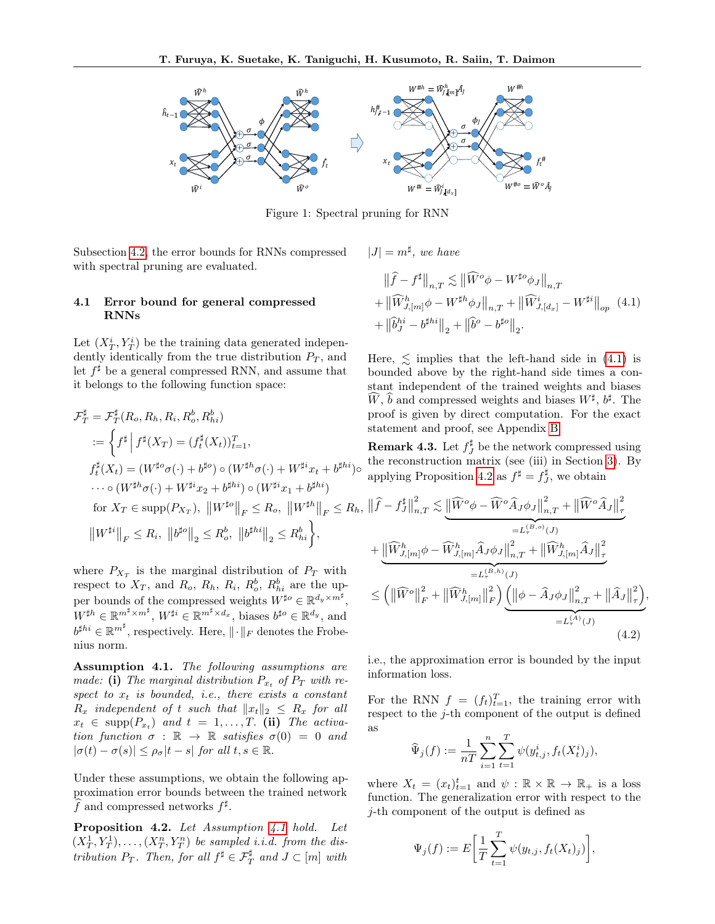<span id="page-4-2"></span>

Figure 1: Spectral pruning for RNN

Subsection [4.2,](#page-5-1) the error bounds for RNNs compressed with spectral pruning are evaluated.

#### <span id="page-4-0"></span>4.1 Error bound for general compressed RNNs

Let  $(X_T^i, Y_T^i)$  be the training data generated independently identically from the true distribution  $P_T$ , and let  $f^{\sharp}$  be a general compressed RNN, and assume that it belongs to the following function space:

$$
\mathcal{F}_{T}^{\sharp} = \mathcal{F}_{T}^{\sharp}(R_{o}, R_{h}, R_{i}, R_{o}^{b}, R_{hi}^{b})
$$
pro  
\n
$$
:= \left\{ f^{\sharp} \middle| f^{\sharp}(X_{T}) = (f_{t}^{\sharp}(X_{t}))_{t=1}^{T}, \qquad \text{Re:} \right\}
$$

where  $P_{X_T}$  is the marginal distribution of  $P_T$  with respect to  $X_T$ , and  $R_o$ ,  $R_h$ ,  $R_i$ ,  $R_o^b$ ,  $R_{hi}^b$  are the upper bounds of the compressed weights  $W^{\sharp o} \in \mathbb{R}^{d_y \times m^{\sharp}}$  $W^{\sharp h} \in \mathbb{R}^{m^{\sharp} \times m^{\sharp}}, W^{\sharp i} \in \mathbb{R}^{m^{\sharp} \times d_x}, \text{ biases } b^{\sharp o} \in \mathbb{R}^{d_y}, \text{ and}$  $b^{\sharp hi} \in \mathbb{R}^{m^{\sharp}}$ , respectively. Here,  $\|\cdot\|_F$  denotes the Frobenius norm.

<span id="page-4-3"></span>Assumption 4.1. The following assumptions are made: (i) The marginal distribution  $P_{x_t}$  of  $P_T$  with respect to  $x_t$  is bounded, i.e., there exists a constant  $R_x$  independent of t such that  $||x_t||_2 \leq R_x$  for all  $x_t \in \text{supp}(P_{x_t})$  and  $t = 1, \ldots, T$ . (ii) The activation function  $\sigma : \mathbb{R} \to \mathbb{R}$  satisfies  $\sigma(0) = 0$  and  $|\sigma(t) - \sigma(s)| \leq \rho_{\sigma} |t - s|$  for all  $t, s \in \mathbb{R}$ .

Under these assumptions, we obtain the following approximation error bounds between the trained network  $\widehat{f}$  and compressed networks  $f^{\sharp}$ .

<span id="page-4-5"></span>Proposition 4.2. Let Assumption [4.1](#page-4-3) hold. Let  $(X_T^1, Y_T^1), \ldots, (X_T^n, Y_T^n)$  be sampled i.i.d. from the distribution  $P_T$ . Then, for all  $f^{\sharp} \in \mathcal{F}^{\sharp}_T$  and  $J \subset [m]$  with

 $|J| = m^{\sharp}$ , we have

<span id="page-4-4"></span>
$$
\|\hat{f} - f^{\sharp}\|_{n,T} \lesssim \|\widehat{W}^o \phi - W^{\sharp o} \phi_J\|_{n,T} + \|\widehat{W}_{J,[m]}^h \phi - W^{\sharp h} \phi_J\|_{n,T} + \|\widehat{W}_{J,[d_x]}^i - W^{\sharp i}\|_{op} (4.1) + \|\widehat{b}_J^{hi} - b^{\sharp hi}\|_2 + \|\widehat{b}^o - b^{\sharp o}\|_2.
$$

Here,  $\leq$  implies that the left-hand side in [\(4.1\)](#page-4-4) is bounded above by the right-hand side times a constant independent of the trained weights and biases  $\widehat{W}$ ,  $\widehat{b}$  and compressed weights and biases  $W^{\sharp}$ ,  $b^{\sharp}$ . The of is given by direct computation. For the exact tement and proof, see Appendix [B.](#page-12-0)

<span id="page-4-1"></span>**Remark 4.3.** Let  $f_J^{\sharp}$  be the network compressed using reconstruction matrix (see (iii) in Section [3\)](#page-2-0). By applying Proposition [4.2](#page-4-5) as  $f^{\sharp} = f^{\sharp}_{J}$ , we obtain

<span id="page-4-6"></span>
$$
\begin{split}\n|F \leq R_h, \|\widehat{f} - f_J^{\sharp}\|_{n,T}^2 &\lesssim \underbrace{\|\widehat{W}^o \phi - \widehat{W}^o \widehat{A}_J \phi_J\|_{n,T}^2 + \|\widehat{W}^o \widehat{A}_J\|_{\tau}^2}_{=L_{\tau}^{(B,o)}(J)} \\
&+ \underbrace{\|\widehat{W}_{J,[m]}^h \phi - \widehat{W}_{J,[m]}^h \widehat{A}_J \phi_J\|_{n,T}^2 + \|\widehat{W}_{J,[m]}^h \widehat{A}_J\|_{\tau}^2}_{=L_{\tau}^{(B,h)}(J)} \\
\text{with} \\
\underset{W \text{ with } \sigma = L_{\tau}^{(B,h)}(J)}{\text{sup}} \\
&\lesssim \left(\|\widehat{W}^o\|_F^2 + \|\widehat{W}_{J,[m]}^h\|_F^2\right) \underbrace{\left(\|\phi - \widehat{A}_J \phi_J\|_{n,T}^2 + \|\widehat{A}_J\|_{\tau}^2\right)}_{=L_{\tau}^{(A)}(J)}, \\
\text{and} \\
&\frac{L_{\tau}^{(B,o)}(J)}{P} \\
\text{(4.2)}\n\end{split}
$$

i.e., the approximation error is bounded by the input information loss.

For the RNN  $f = (f_t)_{t=1}^T$ , the training error with respect to the  $j$ -th component of the output is defined as

$$
\widehat{\Psi}_j(f) := \frac{1}{nT} \sum_{i=1}^n \sum_{t=1}^T \psi(y_{t,j}^i, f_t(X_t^i)_j),
$$

where  $X_t = (x_t)_{t=1}^t$  and  $\psi : \mathbb{R} \times \mathbb{R} \to \mathbb{R}_+$  is a loss function. The generalization error with respect to the j-th component of the output is defined as

$$
\Psi_j(f) := E\bigg[\frac{1}{T}\sum_{t=1}^T \psi(y_{t,j}, f_t(X_t)_j)\bigg],
$$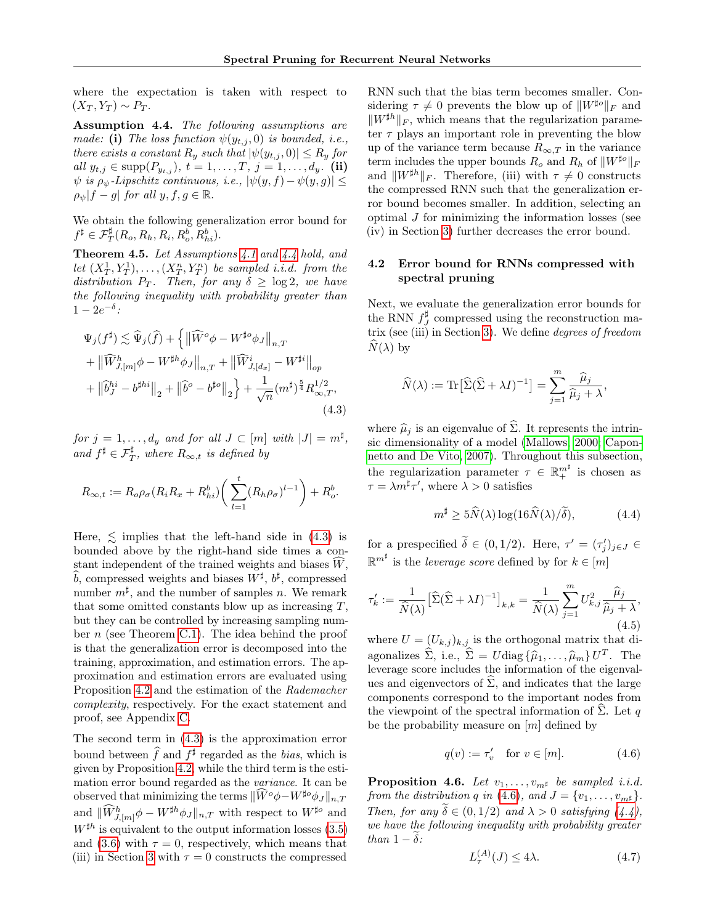where the expectation is taken with respect to  $(X_T, Y_T) \sim P_T$ .

<span id="page-5-2"></span>Assumption 4.4. The following assumptions are made: (i) The loss function  $\psi(y_{t,i},0)$  is bounded, i.e., there exists a constant  $R_y$  such that  $|\psi(y_{t,j}, 0)| \le R_y$  for all  $y_{t,j} \in \text{supp}(P_{y_{t,j}}), t = 1, ..., T, j = 1, ..., d_y$ . (ii)  $\psi$  is  $\rho_{\psi}$ -Lipschitz continuous, i.e.,  $|\psi(y, f) - \psi(y, g)| \le$  $\rho_{\psi}|f-g|$  for all  $y, f, g \in \mathbb{R}$ .

We obtain the following generalization error bound for  $f^{\sharp} \in \mathcal{F}_T^{\sharp}(R_o, R_h, R_i, R_o^b, R_{hi}^b).$ 

<span id="page-5-0"></span>Theorem 4.5. Let Assumptions [4.1](#page-4-3) and [4.4](#page-5-2) hold, and let  $(X_T^1, Y_T^1), \ldots, (X_T^n, Y_T^n)$  be sampled i.i.d. from the distribution  $P_T$ . Then, for any  $\delta \geq \log 2$ , we have the following inequality with probability greater than  $1-2e^{-\delta}$ :

<span id="page-5-3"></span>
$$
\Psi_j(f^{\sharp}) \lesssim \widehat{\Psi}_j(\widehat{f}) + \left\{ \left\| \widehat{W}^o \phi - W^{\sharp o} \phi_J \right\|_{n,T} + \left\| \widehat{W}_{J,[m]}^h \phi - W^{\sharp h} \phi_J \right\|_{n,T} + \left\| \widehat{W}_{J,[d_x]}^i - W^{\sharp i} \right\|_{op} + \left\| \widehat{b}_J^{hi} - b^{\sharp hi} \right\|_2 + \left\| \widehat{b}^o - b^{\sharp o} \right\|_2 \right\} + \frac{1}{\sqrt{n}} (m^{\sharp})^{\frac{5}{4}} R_{\infty,T}^{1/2},
$$
\n(4.3)

for  $j = 1, \ldots, d_y$  and for all  $J \subset [m]$  with  $|J| = m^{\sharp}$ , and  $f^{\sharp} \in \mathcal{F}_T^{\sharp}$ , where  $R_{\infty,t}$  is defined by

$$
R_{\infty,t} := R_o \rho_\sigma (R_i R_x + R_{hi}^b) \bigg( \sum_{l=1}^t (R_h \rho_\sigma)^{l-1} \bigg) + R_o^b.
$$

Here,  $\leq$  implies that the left-hand side in [\(4.3\)](#page-5-3) is bounded above by the right-hand side times a constant independent of the trained weights and biases  $\widetilde{W}$ ,  $\widehat{b}$ , compressed weights and biases  $W^{\sharp}$ ,  $b^{\sharp}$ , compressed number  $m^{\sharp}$ , and the number of samples n. We remark that some omitted constants blow up as increasing  $T$ , but they can be controlled by increasing sampling number  $n$  (see Theorem [C.1\)](#page-14-0). The idea behind the proof is that the generalization error is decomposed into the training, approximation, and estimation errors. The approximation and estimation errors are evaluated using Proposition [4.2](#page-4-5) and the estimation of the Rademacher complexity, respectively. For the exact statement and proof, see Appendix [C.](#page-14-1)

The second term in [\(4.3\)](#page-5-3) is the approximation error bound between  $\hat{f}$  and  $f^{\sharp}$  regarded as the *bias*, which is given by Proposition [4.2,](#page-4-5) while the third term is the estimation error bound regarded as the variance. It can be observed that minimizing the terms  $\|\widehat{W}^o\phi - W^{\sharp o}\phi_J\|_{n,T}$ and  $\|\widehat{W}_{J,[m]}^h \phi - W^{\sharp h} \phi_J\|_{n,T}$  with respect to  $W^{\sharp o}$  and  $W^{\sharp h}$  is equivalent to the output information losses [\(3.5\)](#page-2-2) and [\(3.6\)](#page-2-3) with  $\tau = 0$ , respectively, which means that (iii) in Section [3](#page-2-0) with  $\tau = 0$  constructs the compressed RNN such that the bias term becomes smaller. Considering  $\tau \neq 0$  prevents the blow up of  $||W^{\sharp o}||_F$  and  $||W^{\sharp h}||_F$ , which means that the regularization parameter  $\tau$  plays an important role in preventing the blow up of the variance term because  $R_{\infty,T}$  in the variance term includes the upper bounds  $R_o$  and  $R_h$  of  $||W^{\sharp o}||_F$ and  $||W^{\sharp h}||_F$ . Therefore, (iii) with  $\tau \neq 0$  constructs the compressed RNN such that the generalization error bound becomes smaller. In addition, selecting an  $optimal J$  for minimizing the information losses (see (iv) in Section [3\)](#page-2-0) further decreases the error bound.

#### <span id="page-5-1"></span>4.2 Error bound for RNNs compressed with spectral pruning

Next, we evaluate the generalization error bounds for the RNN  $f_J^{\sharp}$  compressed using the reconstruction matrix (see (iii) in Section [3\)](#page-2-0). We define degrees of freedom  $N(\lambda)$  by

$$
\widehat{N}(\lambda) := \text{Tr} \left[ \widehat{\Sigma} (\widehat{\Sigma} + \lambda I)^{-1} \right] = \sum_{j=1}^{m} \frac{\widehat{\mu}_j}{\widehat{\mu}_j + \lambda}
$$

where  $\hat{\mu}_j$  is an eigenvalue of  $\hat{\Sigma}$ . It represents the intrinsic dimensionality of a model [\(Mallows, 2000;](#page-9-8) [Capon](#page-9-9)[netto and De Vito, 2007\)](#page-9-9). Throughout this subsection, the regularization parameter  $\tau \in \mathbb{R}^{m^{\sharp}}_{+}$  is chosen as  $\tau = \lambda m^{\sharp} \tau'$ , where  $\lambda > 0$  satisfies

<span id="page-5-5"></span>
$$
m^{\sharp} \ge 5\widehat{N}(\lambda) \log(16\widehat{N}(\lambda)/\widetilde{\delta}), \tag{4.4}
$$

,

for a prespecified  $\tilde{\delta} \in (0, 1/2)$ . Here,  $\tau' = (\tau'_j)_{j \in J} \in$  $\mathbb{R}^{m^{\sharp}}$  is the *leverage score* defined by for  $k \in [m]$ 

<span id="page-5-8"></span>
$$
\tau'_k := \frac{1}{\widehat{N}(\lambda)} \left[ \widehat{\Sigma} (\widehat{\Sigma} + \lambda I)^{-1} \right]_{k,k} = \frac{1}{\widehat{N}(\lambda)} \sum_{j=1}^m U_{k,j}^2 \frac{\widehat{\mu}_j}{\widehat{\mu}_j + \lambda},\tag{4.5}
$$

where  $U = (U_{k,j})_{k,j}$  is the orthogonal matrix that diagonalizes  $\hat{\Sigma}$ , i.e.,  $\hat{\Sigma} = U \text{diag} \{ \hat{\mu}_1, \dots, \hat{\mu}_m \} U^T$ . The leverage score includes the information of the eigenvalues and eigenvectors of  $\widehat{\Sigma}$ , and indicates that the large components correspond to the important nodes from the viewpoint of the spectral information of  $\Sigma$ . Let q be the probability measure on  $[m]$  defined by

<span id="page-5-4"></span>
$$
q(v) := \tau_v' \quad \text{for } v \in [m]. \tag{4.6}
$$

<span id="page-5-7"></span>**Proposition 4.6.** Let  $v_1, \ldots, v_{m^{\sharp}}$  be sampled i.i.d. from the distribution q in [\(4.6\)](#page-5-4), and  $J = \{v_1, \ldots, v_{m^{\sharp}}\}.$ Then, for any  $\delta \in (0, 1/2)$  and  $\lambda > 0$  satisfying  $(4.4)$ , we have the following inequality with probability greater than  $1 - \tilde{\delta}$ :

<span id="page-5-6"></span>
$$
L_{\tau}^{(A)}(J) \le 4\lambda. \tag{4.7}
$$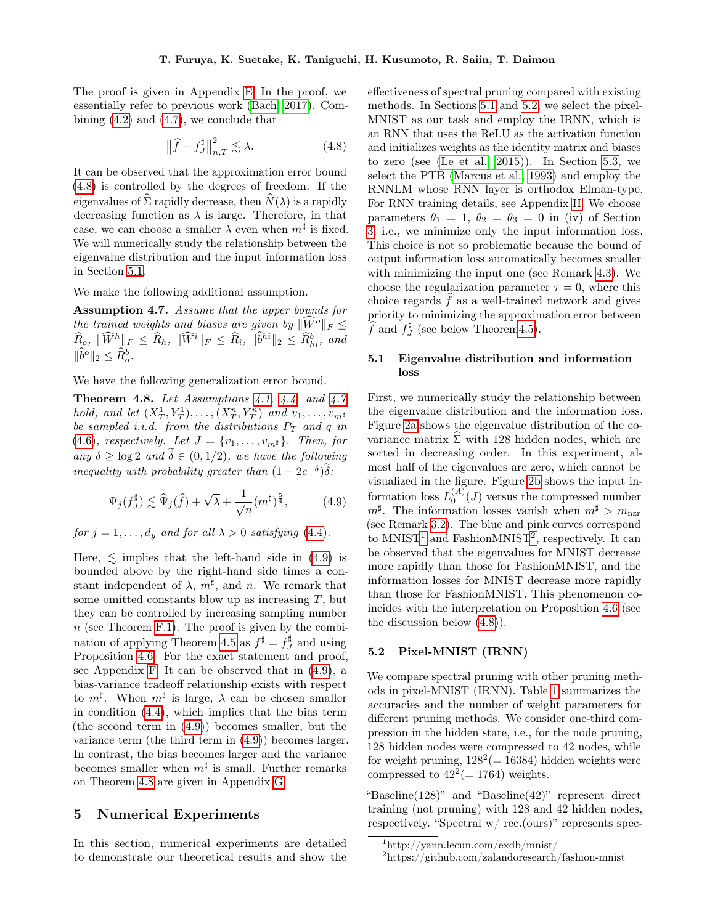The proof is given in Appendix [E.](#page-19-0) In the proof, we essentially refer to previous work [\(Bach, 2017\)](#page-8-3). Combining [\(4.2\)](#page-4-6) and [\(4.7\)](#page-5-6), we conclude that

<span id="page-6-2"></span>
$$
\left\|\widehat{f} - f_J^{\sharp}\right\|_{n,T}^2 \lesssim \lambda. \tag{4.8}
$$

It can be observed that the approximation error bound [\(4.8\)](#page-6-2) is controlled by the degrees of freedom. If the eigenvalues of  $\hat{\Sigma}$  rapidly decrease, then  $\hat{N}(\lambda)$  is a rapidly decreasing function as  $\lambda$  is large. Therefore, in that case, we can choose a smaller  $\lambda$  even when  $m^{\sharp}$  is fixed. We will numerically study the relationship between the eigenvalue distribution and the input information loss in Section [5.1.](#page-6-3)

We make the following additional assumption.

<span id="page-6-4"></span>Assumption 4.7. Assume that the upper bounds for the trained weights and biases are given by  $\|\widetilde{W}^o\|_F \leq$  $\widehat{R}_{o}, \ \|\widehat{W}^h\|_F \leq \widehat{R}_h, \ \|\widehat{W}^i\|_F \leq \widehat{R}_i, \ \|\widehat{b}^{hi}\|_2 \leq \widehat{R}_{hi}^b, \ and$  $\|\widehat{b}^o\|_2 \leq \widehat{R}^b_o.$ 

We have the following generalization error bound.

<span id="page-6-1"></span>**Theorem 4.8.** Let Assumptions [4.1,](#page-4-3) [4.4,](#page-5-2) and [4.7](#page-6-4) hold, and let  $(X_T^1, Y_T^1), \ldots, (X_T^n, Y_T^n)$  and  $v_1, \ldots, v_{m^{\sharp}}$ be sampled i.i.d. from the distributions  $P_T$  and q in [\(4.6\)](#page-5-4), respectively. Let  $J = \{v_1, \ldots, v_{m^{\sharp}}\}.$  Then, for any  $\delta \geq \log 2$  and  $\widetilde{\delta} \in (0, 1/2)$ , we have the following inequality with probability greater than  $(1 - 2e^{-\delta})\tilde{\delta}$ :

<span id="page-6-5"></span>
$$
\Psi_j(f^\sharp_J) \lesssim \widehat{\Psi}_j(\widehat{f}) + \sqrt{\lambda} + \frac{1}{\sqrt{n}} (m^\sharp)^\frac{5}{4}, \tag{4.9}
$$

for  $j = 1, ..., d_y$  and for all  $\lambda > 0$  satisfying [\(4.4\)](#page-5-5).

Here,  $\leq$  implies that the left-hand side in [\(4.9\)](#page-6-5) is bounded above by the right-hand side times a constant independent of  $\lambda$ ,  $m^{\sharp}$ , and n. We remark that some omitted constants blow up as increasing  $T$ , but they can be controlled by increasing sampling number  $n$  (see Theorem [F.1\)](#page-20-0). The proof is given by the combi-nation of applying Theorem [4.5](#page-5-0) as  $f^{\sharp} = f^{\sharp}_J$  and using Proposition [4.6.](#page-5-7) For the exact statement and proof, see Appendix [F.](#page-20-1) It can be observed that in [\(4.9\)](#page-6-5), a bias-variance tradeoff relationship exists with respect to  $m^{\sharp}$ . When  $m^{\sharp}$  is large,  $\lambda$  can be chosen smaller in condition [\(4.4\)](#page-5-5), which implies that the bias term (the second term in [\(4.9\)](#page-6-5)) becomes smaller, but the variance term (the third term in [\(4.9\)](#page-6-5)) becomes larger. In contrast, the bias becomes larger and the variance becomes smaller when  $m^{\sharp}$  is small. Further remarks on Theorem [4.8](#page-6-1) are given in Appendix [G.](#page-22-0)

#### <span id="page-6-8"></span>5 Numerical Experiments

In this section, numerical experiments are detailed to demonstrate our theoretical results and show the effectiveness of spectral pruning compared with existing methods. In Sections [5.1](#page-6-3) and [5.2,](#page-6-0) we select the pixel-MNIST as our task and employ the IRNN, which is an RNN that uses the ReLU as the activation function and initializes weights as the identity matrix and biases to zero (see [\(Le et al., 2015\)](#page-9-11)). In Section [5.3,](#page-8-1) we select the PTB [\(Marcus et al., 1993\)](#page-9-20) and employ the RNNLM whose RNN layer is orthodox Elman-type. For RNN training details, see Appendix [H.](#page-22-1) We choose parameters  $\theta_1 = 1, \ \theta_2 = \theta_3 = 0$  in (iv) of Section [3,](#page-2-0) i.e., we minimize only the input information loss. This choice is not so problematic because the bound of output information loss automatically becomes smaller with minimizing the input one (see Remark [4.3\)](#page-4-1). We choose the regularization parameter  $\tau = 0$ , where this choice regards  $\hat{f}$  as a well-trained network and gives priority to minimizing the approximation error between  $\widehat{f}$  and  $f_J^{\sharp}$  (see below Theore[m4.5\)](#page-5-0).

#### <span id="page-6-3"></span>5.1 Eigenvalue distribution and information loss

First, we numerically study the relationship between the eigenvalue distribution and the information loss. Figure [2a](#page-7-0) shows the eigenvalue distribution of the covariance matrix  $\Sigma$  with 128 hidden nodes, which are sorted in decreasing order. In this experiment, almost half of the eigenvalues are zero, which cannot be visualized in the figure. Figure [2b](#page-7-0) shows the input information loss  $L_0^{(A)}(J)$  versus the compressed number  $m^{\sharp}$ . The information losses vanish when  $m^{\sharp} > m_{\text{nzrr}}$ (see Remark [3.2\)](#page-3-0). The blue and pink curves correspond to  $MNIST<sup>1</sup>$  $MNIST<sup>1</sup>$  $MNIST<sup>1</sup>$  and Fashion $MNIST<sup>2</sup>$  $MNIST<sup>2</sup>$  $MNIST<sup>2</sup>$ , respectively. It can be observed that the eigenvalues for MNIST decrease more rapidly than those for FashionMNIST, and the information losses for MNIST decrease more rapidly than those for FashionMNIST. This phenomenon coincides with the interpretation on Proposition [4.6](#page-5-7) (see the discussion below [\(4.8\)](#page-6-2)).

#### <span id="page-6-0"></span>5.2 Pixel-MNIST (IRNN)

We compare spectral pruning with other pruning methods in pixel-MNIST (IRNN). Table [1](#page-7-1) summarizes the accuracies and the number of weight parameters for different pruning methods. We consider one-third compression in the hidden state, i.e., for the node pruning, 128 hidden nodes were compressed to 42 nodes, while for weight pruning,  $128^2 (= 16384)$  hidden weights were compressed to  $42^2 (= 1764)$  weights.

"Baseline(128)" and "Baseline(42)" represent direct training (not pruning) with 128 and 42 hidden nodes, respectively. "Spectral w/ rec.(ours)" represents spec-

<span id="page-6-6"></span><sup>1</sup>http://yann.lecun.com/exdb/mnist/

<span id="page-6-7"></span><sup>2</sup>https://github.com/zalandoresearch/fashion-mnist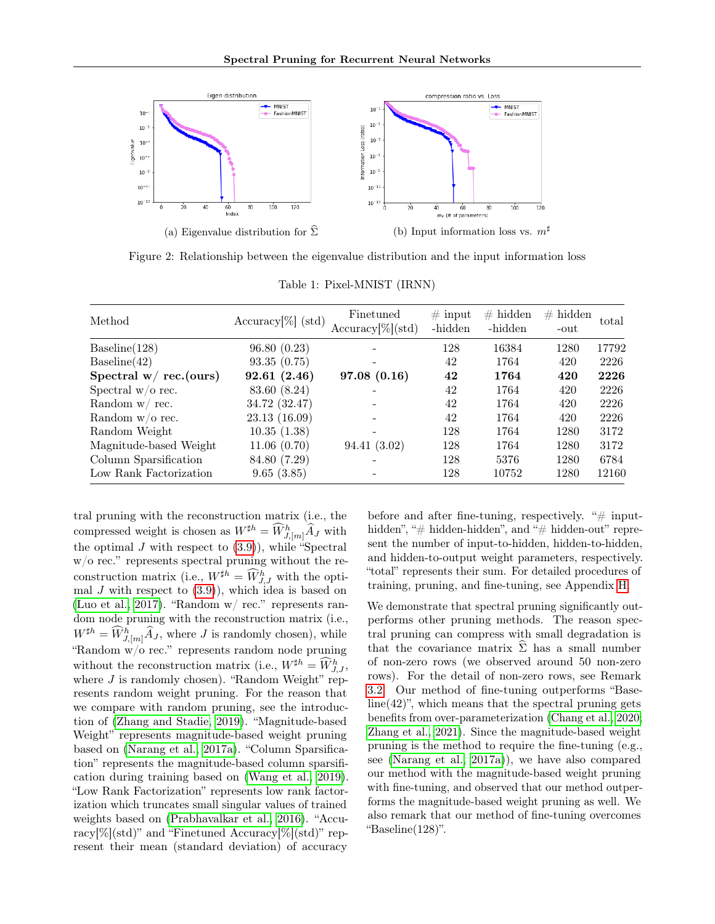<span id="page-7-0"></span>

Figure 2: Relationship between the eigenvalue distribution and the input information loss

<span id="page-7-1"></span>

| Method                    | $Accuracy[\%]$ (std) | Finetuned<br>$Accuracy[\%](std)$ | $\#$ input<br>-hidden | $#$ hidden<br>-hidden | $#$ hidden<br>-out | total |
|---------------------------|----------------------|----------------------------------|-----------------------|-----------------------|--------------------|-------|
| Baseline(128)             | 96.80(0.23)          |                                  | 128                   | 16384                 | 1280               | 17792 |
| Baseline(42)              | 93.35(0.75)          |                                  | 42                    | 1764                  | 420                | 2226  |
| Spectral $w/$ rec. (ours) | 92.61(2.46)          | 97.08(0.16)                      | 42                    | 1764                  | 420                | 2226  |
| Spectral $w/o$ rec.       | 83.60 (8.24)         |                                  | 42                    | 1764                  | 420                | 2226  |
| Random w/rec.             | 34.72 (32.47)        |                                  | 42                    | 1764                  | 420                | 2226  |
| Random $w/o$ rec.         | 23.13 (16.09)        |                                  | 42                    | 1764                  | 420                | 2226  |
| Random Weight             | 10.35(1.38)          |                                  | 128                   | 1764                  | 1280               | 3172  |
| Magnitude-based Weight    | 11.06(0.70)          | 94.41 (3.02)                     | 128                   | 1764                  | 1280               | 3172  |
| Column Sparsification     | 84.80 (7.29)         |                                  | 128                   | 5376                  | 1280               | 6784  |
| Low Rank Factorization    | 9.65(3.85)           |                                  | 128                   | 10752                 | 1280               | 12160 |

Table 1: Pixel-MNIST (IRNN)

tral pruning with the reconstruction matrix (i.e., the compressed weight is chosen as  $W^{\sharp h} = \widehat{W}_{J,[m]}^h \widehat{A}_J$  with the optimal J with respect to  $(3.9)$ , while "Spectral"  $\le$  ' represents spectral pruning without the reconstruction matrix (i.e.,  $W^{\sharp h} = \widehat{W}_{J,J}^{h}$  with the optimal  $J$  with respect to  $(3.9)$ , which idea is based on [\(Luo et al., 2017\)](#page-9-21). "Random w/ rec." represents random node pruning with the reconstruction matrix (i.e.,  $W^{\sharp h} = \widehat{W}_{J,[m]}^h \widehat{A}_J$ , where J is randomly chosen), while "Random w/o rec." represents random node pruning without the reconstruction matrix (i.e.,  $W^{\sharp h} = \widehat{W}_{J,J}^h$ , where  $J$  is randomly chosen). "Random Weight" represents random weight pruning. For the reason that we compare with random pruning, see the introduction of [\(Zhang and Stadie, 2019\)](#page-10-1). "Magnitude-based Weight" represents magnitude-based weight pruning based on [\(Narang et al., 2017a\)](#page-9-0). "Column Sparsification" represents the magnitude-based column sparsification during training based on [\(Wang et al., 2019\)](#page-10-2). "Low Rank Factorization" represents low rank factorization which truncates small singular values of trained weights based on [\(Prabhavalkar et al., 2016\)](#page-10-12). "Accuracy[%](std)" and "Finetuned Accuracy[%](std)" represent their mean (standard deviation) of accuracy

before and after fine-tuning, respectively. " $\#$  inputhidden", "# hidden-hidden", and "# hidden-out" represent the number of input-to-hidden, hidden-to-hidden, and hidden-to-output weight parameters, respectively. "total" represents their sum. For detailed procedures of training, pruning, and fine-tuning, see Appendix [H.](#page-22-1)

We demonstrate that spectral pruning significantly outperforms other pruning methods. The reason spectral pruning can compress with small degradation is that the covariance matrix  $\hat{\Sigma}$  has a small number of non-zero rows (we observed around 50 non-zero rows). For the detail of non-zero rows, see Remark [3.2.](#page-3-0) Our method of fine-tuning outperforms "Base $line(42)$ ", which means that the spectral pruning gets benefits from over-parameterization [\(Chang et al., 2020;](#page-9-10) [Zhang et al., 2021\)](#page-10-9). Since the magnitude-based weight pruning is the method to require the fine-tuning (e.g., see [\(Narang et al., 2017a\)](#page-9-0)), we have also compared our method with the magnitude-based weight pruning with fine-tuning, and observed that our method outperforms the magnitude-based weight pruning as well. We also remark that our method of fine-tuning overcomes "Baseline(128)".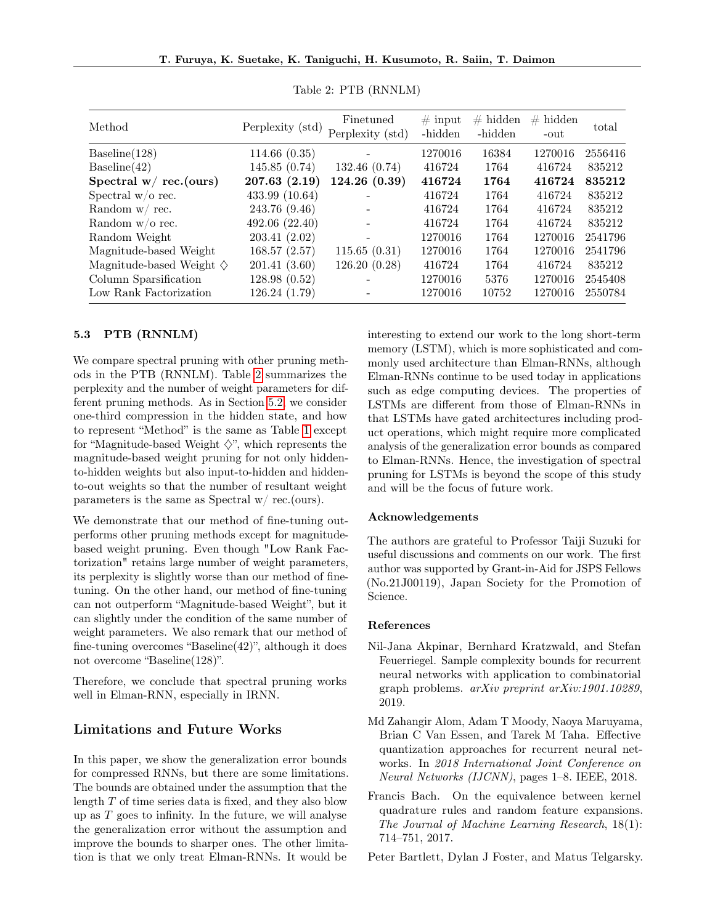<span id="page-8-4"></span>

| Method                                | Perplexity (std) | Finetuned<br>Perplexity (std) | $\#$ input<br>-hidden | $#$ hidden<br>-hidden | $#$ hidden<br>-out | total   |
|---------------------------------------|------------------|-------------------------------|-----------------------|-----------------------|--------------------|---------|
| Baseline(128)                         | 114.66(0.35)     |                               | 1270016               | 16384                 | 1270016            | 2556416 |
| Baseline(42)                          | 145.85(0.74)     | 132.46 (0.74)                 | 416724                | 1764                  | 416724             | 835212  |
| Spectral $w/$ rec. (ours)             | 207.63(2.19)     | 124.26(0.39)                  | 416724                | 1764                  | 416724             | 835212  |
| Spectral $w/o$ rec.                   | 433.99 (10.64)   |                               | 416724                | 1764                  | 416724             | 835212  |
| Random $w/$ rec.                      | 243.76 (9.46)    |                               | 416724                | 1764                  | 416724             | 835212  |
| Random $w/o$ rec.                     | 492.06 (22.40)   |                               | 416724                | 1764                  | 416724             | 835212  |
| Random Weight                         | 203.41(2.02)     |                               | 1270016               | 1764                  | 1270016            | 2541796 |
| Magnitude-based Weight                | 168.57 (2.57)    | 115.65(0.31)                  | 1270016               | 1764                  | 1270016            | 2541796 |
| Magnitude-based Weight $\diamondsuit$ | 201.41(3.60)     | 126.20(0.28)                  | 416724                | 1764                  | 416724             | 835212  |
| Column Sparsification                 | 128.98(0.52)     |                               | 1270016               | 5376                  | 1270016            | 2545408 |
| Low Rank Factorization                | 126.24 (1.79)    |                               | 1270016               | 10752                 | 1270016            | 2550784 |

Table 2: PTB (RNNLM)

#### <span id="page-8-1"></span>5.3 PTB (RNNLM)

We compare spectral pruning with other pruning methods in the PTB (RNNLM). Table [2](#page-8-4) summarizes the perplexity and the number of weight parameters for different pruning methods. As in Section [5.2,](#page-6-0) we consider one-third compression in the hidden state, and how to represent "Method" is the same as Table [1](#page-7-1) except for "Magnitude-based Weight  $\diamondsuit$ ", which represents the magnitude-based weight pruning for not only hiddento-hidden weights but also input-to-hidden and hiddento-out weights so that the number of resultant weight parameters is the same as Spectral w/ rec.(ours).

We demonstrate that our method of fine-tuning outperforms other pruning methods except for magnitudebased weight pruning. Even though "Low Rank Factorization" retains large number of weight parameters, its perplexity is slightly worse than our method of finetuning. On the other hand, our method of fine-tuning can not outperform "Magnitude-based Weight", but it can slightly under the condition of the same number of weight parameters. We also remark that our method of fine-tuning overcomes "Baseline(42)", although it does not overcome "Baseline(128)".

Therefore, we conclude that spectral pruning works well in Elman-RNN, especially in IRNN.

#### Limitations and Future Works

In this paper, we show the generalization error bounds for compressed RNNs, but there are some limitations. The bounds are obtained under the assumption that the length T of time series data is fixed, and they also blow up as  $T$  goes to infinity. In the future, we will analyse the generalization error without the assumption and improve the bounds to sharper ones. The other limitation is that we only treat Elman-RNNs. It would be interesting to extend our work to the long short-term memory (LSTM), which is more sophisticated and commonly used architecture than Elman-RNNs, although Elman-RNNs continue to be used today in applications such as edge computing devices. The properties of LSTMs are different from those of Elman-RNNs in that LSTMs have gated architectures including product operations, which might require more complicated analysis of the generalization error bounds as compared to Elman-RNNs. Hence, the investigation of spectral pruning for LSTMs is beyond the scope of this study and will be the focus of future work.

#### Acknowledgements

The authors are grateful to Professor Taiji Suzuki for useful discussions and comments on our work. The first author was supported by Grant-in-Aid for JSPS Fellows (No.21J00119), Japan Society for the Promotion of Science.

#### References

- <span id="page-8-2"></span>Nil-Jana Akpinar, Bernhard Kratzwald, and Stefan Feuerriegel. Sample complexity bounds for recurrent neural networks with application to combinatorial graph problems. arXiv preprint arXiv:1901.10289, 2019.
- <span id="page-8-0"></span>Md Zahangir Alom, Adam T Moody, Naoya Maruyama, Brian C Van Essen, and Tarek M Taha. Effective quantization approaches for recurrent neural networks. In 2018 International Joint Conference on Neural Networks (IJCNN), pages 1–8. IEEE, 2018.
- <span id="page-8-3"></span>Francis Bach. On the equivalence between kernel quadrature rules and random feature expansions. The Journal of Machine Learning Research, 18(1): 714–751, 2017.

<span id="page-8-5"></span>Peter Bartlett, Dylan J Foster, and Matus Telgarsky.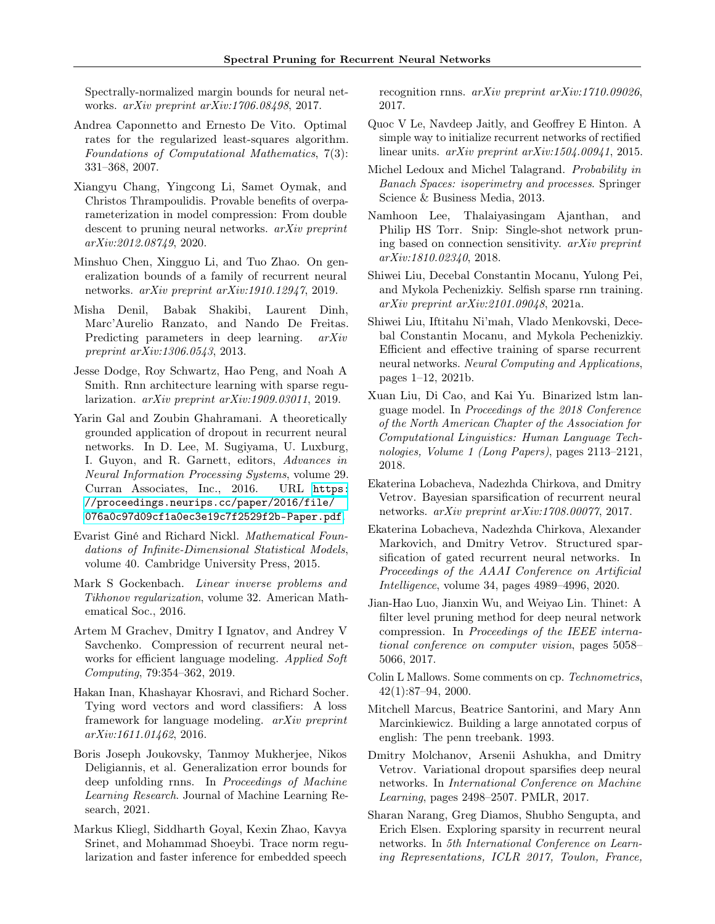Spectrally-normalized margin bounds for neural networks. arXiv preprint arXiv:1706.08498, 2017.

- <span id="page-9-9"></span>Andrea Caponnetto and Ernesto De Vito. Optimal rates for the regularized least-squares algorithm. Foundations of Computational Mathematics, 7(3): 331–368, 2007.
- <span id="page-9-10"></span>Xiangyu Chang, Yingcong Li, Samet Oymak, and Christos Thrampoulidis. Provable benefits of overparameterization in model compression: From double descent to pruning neural networks. arXiv preprint arXiv:2012.08749, 2020.
- <span id="page-9-17"></span>Minshuo Chen, Xingguo Li, and Tuo Zhao. On generalization bounds of a family of recurrent neural networks. arXiv preprint arXiv:1910.12947, 2019.
- <span id="page-9-15"></span>Misha Denil, Babak Shakibi, Laurent Dinh, Marc'Aurelio Ranzato, and Nando De Freitas. Predicting parameters in deep learning. *arXiv* preprint arXiv:1306.0543, 2013.
- <span id="page-9-7"></span>Jesse Dodge, Roy Schwartz, Hao Peng, and Noah A Smith. Rnn architecture learning with sparse regularization. arXiv preprint arXiv:1909.03011, 2019.
- <span id="page-9-16"></span>Yarin Gal and Zoubin Ghahramani. A theoretically grounded application of dropout in recurrent neural networks. In D. Lee, M. Sugiyama, U. Luxburg, I. Guyon, and R. Garnett, editors, Advances in Neural Information Processing Systems, volume 29. Curran Associates, Inc., 2016. URL [https:](https://proceedings.neurips.cc/paper/2016/file/076a0c97d09cf1a0ec3e19c7f2529f2b-Paper.pdf) [//proceedings.neurips.cc/paper/2016/file/](https://proceedings.neurips.cc/paper/2016/file/076a0c97d09cf1a0ec3e19c7f2529f2b-Paper.pdf) [076a0c97d09cf1a0ec3e19c7f2529f2b-Paper.pdf](https://proceedings.neurips.cc/paper/2016/file/076a0c97d09cf1a0ec3e19c7f2529f2b-Paper.pdf).
- <span id="page-9-22"></span>Evarist Giné and Richard Nickl. Mathematical Foundations of Infinite-Dimensional Statistical Models, volume 40. Cambridge University Press, 2015.
- <span id="page-9-19"></span>Mark S Gockenbach. Linear inverse problems and Tikhonov regularization, volume 32. American Mathematical Soc., 2016.
- <span id="page-9-14"></span>Artem M Grachev, Dmitry I Ignatov, and Andrey V Savchenko. Compression of recurrent neural networks for efficient language modeling. Applied Soft Computing, 79:354–362, 2019.
- <span id="page-9-24"></span>Hakan Inan, Khashayar Khosravi, and Richard Socher. Tying word vectors and word classifiers: A loss framework for language modeling. arXiv preprint arXiv:1611.01462, 2016.
- <span id="page-9-18"></span>Boris Joseph Joukovsky, Tanmoy Mukherjee, Nikos Deligiannis, et al. Generalization error bounds for deep unfolding rnns. In Proceedings of Machine Learning Research. Journal of Machine Learning Research, 2021.
- <span id="page-9-3"></span>Markus Kliegl, Siddharth Goyal, Kexin Zhao, Kavya Srinet, and Mohammad Shoeybi. Trace norm regularization and faster inference for embedded speech

recognition rnns. arXiv preprint arXiv:1710.09026, 2017.

- <span id="page-9-11"></span>Quoc V Le, Navdeep Jaitly, and Geoffrey E Hinton. A simple way to initialize recurrent networks of rectified linear units. arXiv preprint arXiv:1504.00941, 2015.
- <span id="page-9-23"></span>Michel Ledoux and Michel Talagrand. Probability in Banach Spaces: isoperimetry and processes. Springer Science & Business Media, 2013.
- <span id="page-9-12"></span>Namhoon Lee, Thalaiyasingam Ajanthan, and Philip HS Torr. Snip: Single-shot network pruning based on connection sensitivity. arXiv preprint arXiv:1810.02340, 2018.
- <span id="page-9-5"></span>Shiwei Liu, Decebal Constantin Mocanu, Yulong Pei, and Mykola Pechenizkiy. Selfish sparse rnn training. arXiv preprint arXiv:2101.09048, 2021a.
- <span id="page-9-6"></span>Shiwei Liu, Iftitahu Ni'mah, Vlado Menkovski, Decebal Constantin Mocanu, and Mykola Pechenizkiy. Efficient and effective training of sparse recurrent neural networks. Neural Computing and Applications, pages 1–12, 2021b.
- <span id="page-9-4"></span>Xuan Liu, Di Cao, and Kai Yu. Binarized lstm language model. In Proceedings of the 2018 Conference of the North American Chapter of the Association for Computational Linguistics: Human Language Technologies, Volume 1 (Long Papers), pages 2113–2121, 2018.
- <span id="page-9-1"></span>Ekaterina Lobacheva, Nadezhda Chirkova, and Dmitry Vetrov. Bayesian sparsification of recurrent neural networks. arXiv preprint arXiv:1708.00077, 2017.
- <span id="page-9-2"></span>Ekaterina Lobacheva, Nadezhda Chirkova, Alexander Markovich, and Dmitry Vetrov. Structured sparsification of gated recurrent neural networks. In Proceedings of the AAAI Conference on Artificial Intelligence, volume 34, pages 4989–4996, 2020.
- <span id="page-9-21"></span>Jian-Hao Luo, Jianxin Wu, and Weiyao Lin. Thinet: A filter level pruning method for deep neural network compression. In Proceedings of the IEEE international conference on computer vision, pages 5058– 5066, 2017.
- <span id="page-9-8"></span>Colin L Mallows. Some comments on cp. Technometrics, 42(1):87–94, 2000.
- <span id="page-9-20"></span>Mitchell Marcus, Beatrice Santorini, and Mary Ann Marcinkiewicz. Building a large annotated corpus of english: The penn treebank. 1993.
- <span id="page-9-13"></span>Dmitry Molchanov, Arsenii Ashukha, and Dmitry Vetrov. Variational dropout sparsifies deep neural networks. In International Conference on Machine Learning, pages 2498–2507. PMLR, 2017.
- <span id="page-9-0"></span>Sharan Narang, Greg Diamos, Shubho Sengupta, and Erich Elsen. Exploring sparsity in recurrent neural networks. In 5th International Conference on Learning Representations, ICLR 2017, Toulon, France,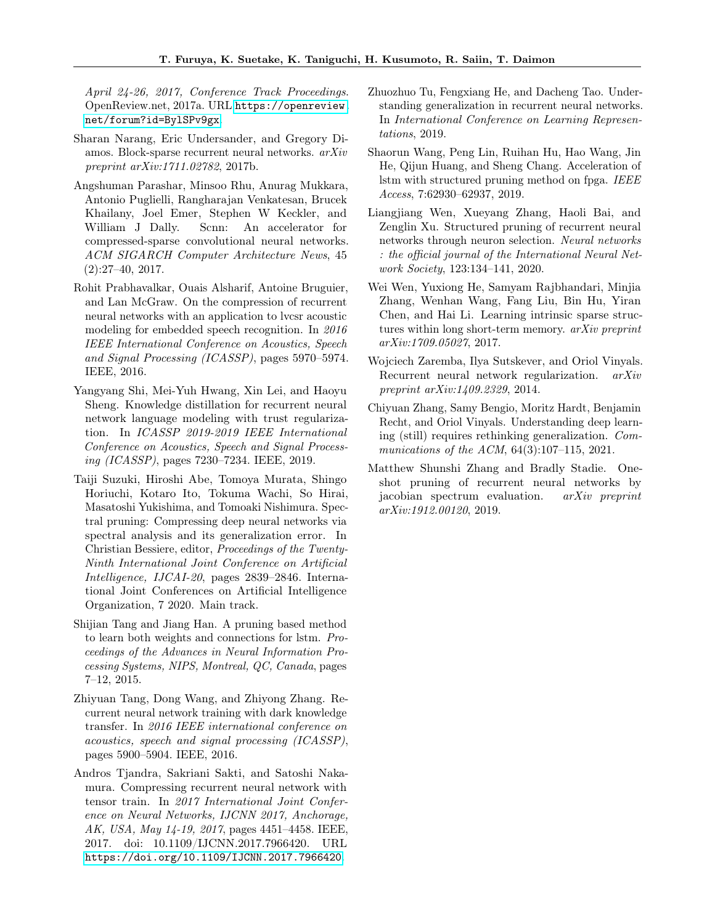April 24-26, 2017, Conference Track Proceedings. OpenReview.net, 2017a. URL [https://openreview.](https://openreview.net/forum?id=BylSPv9gx) [net/forum?id=BylSPv9gx](https://openreview.net/forum?id=BylSPv9gx).

- <span id="page-10-10"></span>Sharan Narang, Eric Undersander, and Gregory Diamos. Block-sparse recurrent neural networks. arXiv preprint arXiv:1711.02782, 2017b.
- <span id="page-10-11"></span>Angshuman Parashar, Minsoo Rhu, Anurag Mukkara, Antonio Puglielli, Rangharajan Venkatesan, Brucek Khailany, Joel Emer, Stephen W Keckler, and William J Dally. Scnn: An accelerator for compressed-sparse convolutional neural networks. ACM SIGARCH Computer Architecture News, 45 (2):27–40, 2017.
- <span id="page-10-12"></span>Rohit Prabhavalkar, Ouais Alsharif, Antoine Bruguier, and Lan McGraw. On the compression of recurrent neural networks with an application to lvcsr acoustic modeling for embedded speech recognition. In 2016 IEEE International Conference on Acoustics, Speech and Signal Processing (ICASSP), pages 5970–5974. IEEE, 2016.
- <span id="page-10-5"></span>Yangyang Shi, Mei-Yuh Hwang, Xin Lei, and Haoyu Sheng. Knowledge distillation for recurrent neural network language modeling with trust regularization. In ICASSP 2019-2019 IEEE International Conference on Acoustics, Speech and Signal Processing (ICASSP), pages 7230–7234. IEEE, 2019.
- <span id="page-10-8"></span>Taiji Suzuki, Hiroshi Abe, Tomoya Murata, Shingo Horiuchi, Kotaro Ito, Tokuma Wachi, So Hirai, Masatoshi Yukishima, and Tomoaki Nishimura. Spectral pruning: Compressing deep neural networks via spectral analysis and its generalization error. In Christian Bessiere, editor, Proceedings of the Twenty-Ninth International Joint Conference on Artificial Intelligence, IJCAI-20, pages 2839–2846. International Joint Conferences on Artificial Intelligence Organization, 7 2020. Main track.
- <span id="page-10-0"></span>Shijian Tang and Jiang Han. A pruning based method to learn both weights and connections for lstm. Proceedings of the Advances in Neural Information Processing Systems, NIPS, Montreal, QC, Canada, pages 7–12, 2015.
- <span id="page-10-6"></span>Zhiyuan Tang, Dong Wang, and Zhiyong Zhang. Recurrent neural network training with dark knowledge transfer. In 2016 IEEE international conference on acoustics, speech and signal processing (ICASSP), pages 5900–5904. IEEE, 2016.
- <span id="page-10-4"></span>Andros Tjandra, Sakriani Sakti, and Satoshi Nakamura. Compressing recurrent neural network with tensor train. In 2017 International Joint Conference on Neural Networks, IJCNN 2017, Anchorage, AK, USA, May 14-19, 2017, pages 4451–4458. IEEE, 2017. doi: 10.1109/IJCNN.2017.7966420. URL <https://doi.org/10.1109/IJCNN.2017.7966420>.
- <span id="page-10-14"></span>Zhuozhuo Tu, Fengxiang He, and Dacheng Tao. Understanding generalization in recurrent neural networks. In International Conference on Learning Representations, 2019.
- <span id="page-10-2"></span>Shaorun Wang, Peng Lin, Ruihan Hu, Hao Wang, Jin He, Qijun Huang, and Sheng Chang. Acceleration of lstm with structured pruning method on fpga. IEEE Access, 7:62930–62937, 2019.
- <span id="page-10-3"></span>Liangjiang Wen, Xueyang Zhang, Haoli Bai, and Zenglin Xu. Structured pruning of recurrent neural networks through neuron selection. Neural networks : the official journal of the International Neural Network Society, 123:134–141, 2020.
- <span id="page-10-7"></span>Wei Wen, Yuxiong He, Samyam Rajbhandari, Minjia Zhang, Wenhan Wang, Fang Liu, Bin Hu, Yiran Chen, and Hai Li. Learning intrinsic sparse structures within long short-term memory. arXiv preprint arXiv:1709.05027, 2017.
- <span id="page-10-13"></span>Wojciech Zaremba, Ilya Sutskever, and Oriol Vinyals. Recurrent neural network regularization. arXiv preprint arXiv:1409.2329, 2014.
- <span id="page-10-9"></span>Chiyuan Zhang, Samy Bengio, Moritz Hardt, Benjamin Recht, and Oriol Vinyals. Understanding deep learning (still) requires rethinking generalization. Communications of the ACM, 64(3):107–115, 2021.
- <span id="page-10-1"></span>Matthew Shunshi Zhang and Bradly Stadie. Oneshot pruning of recurrent neural networks by jacobian spectrum evaluation. arXiv preprint arXiv:1912.00120, 2019.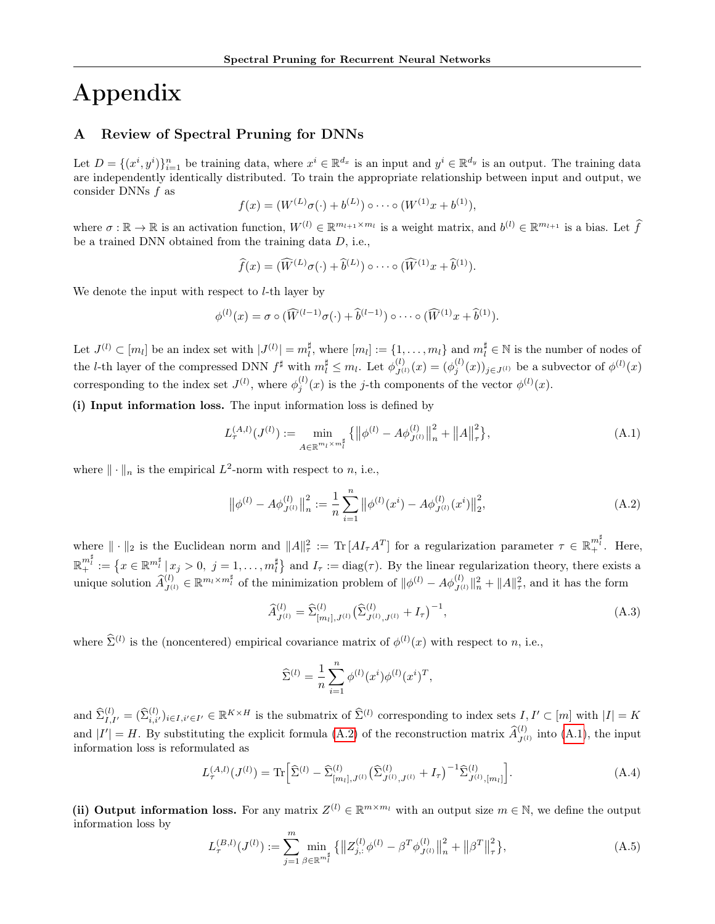# Appendix

# <span id="page-11-0"></span>A Review of Spectral Pruning for DNNs

Let  $D = \{(x^i, y^i)\}_{i=1}^n$  be training data, where  $x^i \in \mathbb{R}^{d_x}$  is an input and  $y^i \in \mathbb{R}^{d_y}$  is an output. The training data are independently identically distributed. To train the appropriate relationship between input and output, we consider DNNs f as

$$
f(x) = (W^{(L)}\sigma(\cdot) + b^{(L)}) \circ \cdots \circ (W^{(1)}x + b^{(1)}),
$$

where  $\sigma : \mathbb{R} \to \mathbb{R}$  is an activation function,  $W^{(l)} \in \mathbb{R}^{m_{l+1} \times m_l}$  is a weight matrix, and  $b^{(l)} \in \mathbb{R}^{m_{l+1}}$  is a bias. Let  $\widehat{f}$ be a trained DNN obtained from the training data D, i.e.,

$$
\widehat{f}(x) = (\widehat{W}^{(L)}\sigma(\cdot) + \widehat{b}^{(L)}) \circ \cdots \circ (\widehat{W}^{(1)}x + \widehat{b}^{(1)}).
$$

We denote the input with respect to *l*-th layer by

$$
\phi^{(l)}(x) = \sigma \circ (\widehat{W}^{(l-1)}\sigma(\cdot) + \widehat{b}^{(l-1)}) \circ \cdots \circ (\widehat{W}^{(1)}x + \widehat{b}^{(1)}).
$$

Let  $J^{(l)} \subset [m_l]$  be an index set with  $|J^{(l)}| = m_l^{\sharp}$ , where  $[m_l] := \{1, \ldots, m_l\}$  and  $m_l^{\sharp} \in \mathbb{N}$  is the number of nodes of the *l*-th layer of the compressed DNN  $f^{\sharp}$  with  $m_l^{\sharp} \leq m_l$ . Let  $\phi_{J^{(l)}}^{(l)}(x) = (\phi_j^{(l)}(x))_{j \in J^{(l)}}$  be a subvector of  $\phi^{(l)}(x)$ corresponding to the index set  $J^{(l)}$ , where  $\phi_j^{(l)}(x)$  is the j-th components of the vector  $\phi^{(l)}(x)$ .

(i) Input information loss. The input information loss is defined by

<span id="page-11-2"></span>
$$
L_{\tau}^{(A,l)}(J^{(l)}) := \min_{A \in \mathbb{R}^{m_l \times m_l^{\sharp}}} \{ ||\phi^{(l)} - A\phi_{J^{(l)}}^{(l)}||_n^2 + ||A||_{\tau}^2 \},
$$
\n(A.1)

where  $\|\cdot\|_n$  is the empirical  $L^2$ -norm with respect to n, i.e.,

<span id="page-11-1"></span>
$$
\left\|\phi^{(l)} - A\phi^{(l)}_{J^{(l)}}\right\|_{n}^{2} := \frac{1}{n} \sum_{i=1}^{n} \left\|\phi^{(l)}(x^{i}) - A\phi^{(l)}_{J^{(l)}}(x^{i})\right\|_{2}^{2},\tag{A.2}
$$

where  $\|\cdot\|_2$  is the Euclidean norm and  $\|A\|_{\tau}^2 := \text{Tr}[A I_{\tau} A^T]$  for a regularization parameter  $\tau \in \mathbb{R}_+^{m_\tau^{\sharp}}$ . Here,  $\mathbb{R}^{m_i^{\sharp}}_+ := \left\{ x \in \mathbb{R}^{m_i^{\sharp}} \, | \, x_j > 0, \ j = 1, \ldots, m_i^{\sharp} \right\}$  and  $I_{\tau} := \text{diag}(\tau)$ . By the linear regularization theory, there exists a unique solution  $\widehat{A}^{(l)}_{J^{(l)}} \in \mathbb{R}^{m_l \times m_l^{\sharp}}$  of the minimization problem of  $\|\phi^{(l)} - A\phi^{(l)}_{J^{(l)}}\|_{n}^{2} + \|A\|_{\tau}^{2}$ , and it has the form

$$
\widehat{A}_{J^{(l)}}^{(l)} = \widehat{\Sigma}_{[m_l],J^{(l)}}^{(l)} \left( \widehat{\Sigma}_{J^{(l)},J^{(l)}}^{(l)} + I_{\tau} \right)^{-1},\tag{A.3}
$$

where  $\hat{\Sigma}^{(l)}$  is the (noncentered) empirical covariance matrix of  $\phi^{(l)}(x)$  with respect to n, i.e.,

$$
\widehat{\Sigma}^{(l)} = \frac{1}{n} \sum_{i=1}^{n} \phi^{(l)}(x^{i}) \phi^{(l)}(x^{i})^{T},
$$

and  $\hat{\Sigma}_{I,I'}^{(l)} = (\hat{\Sigma}_{i,i'}^{(l)})_{i \in I, i' \in I'} \in \mathbb{R}^{K \times H}$  is the submatrix of  $\hat{\Sigma}^{(l)}$  corresponding to index sets  $I, I' \subset [m]$  with  $|I| = K$ and  $|I'| = H$ . By substituting the explicit formula [\(A.2\)](#page-11-1) of the reconstruction matrix  $\hat{A}_{J^{(l)}}^{(l)}$  into [\(A.1\)](#page-11-2), the input information loss is reformulated as

$$
L_{\tau}^{(A,l)}(J^{(l)}) = \text{Tr}\Big[\hat{\Sigma}^{(l)} - \hat{\Sigma}_{[m_l],J^{(l)}}^{(l)}(\hat{\Sigma}_{J^{(l)},J^{(l)}}^{(l)} + I_{\tau})^{-1}\hat{\Sigma}_{J^{(l)},[m_l]}^{(l)}\Big].\tag{A.4}
$$

(ii) Output information loss. For any matrix  $Z^{(l)} \in \mathbb{R}^{m \times m_l}$  with an output size  $m \in \mathbb{N}$ , we define the output information loss by

<span id="page-11-3"></span>
$$
L_{\tau}^{(B,l)}(J^{(l)}) := \sum_{j=1}^{m} \min_{\beta \in \mathbb{R}^{m_{l}^{H}}} \{ ||Z_{j,:}^{(l)}\phi^{(l)} - \beta^{T}\phi_{J^{(l)}}^{(l)}||_{n}^{2} + ||\beta^{T}||_{\tau}^{2} \},
$$
\n(A.5)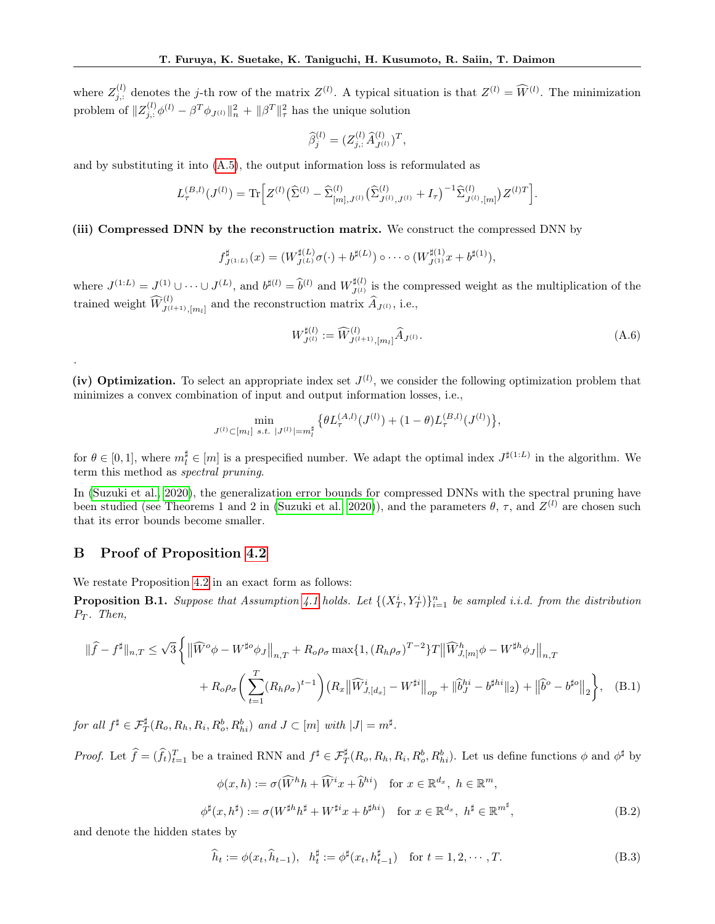where  $Z_{j,:}^{(l)}$  denotes the j-th row of the matrix  $Z^{(l)}$ . A typical situation is that  $Z^{(l)} = \widehat{W}^{(l)}$ . The minimization problem of  $||Z_{j,:}^{(l)}\phi^{(l)} - \beta^T \phi_{J^{(l)}}||_n^2 + ||\beta^T||_{\tau}^2$  has the unique solution

$$
\widehat{\beta}_{j}^{(l)} = (Z_{j,:}^{(l)} \widehat{A}_{J^{(l)}}^{(l)})^{T},
$$

and by substituting it into [\(A.5\)](#page-11-3), the output information loss is reformulated as

$$
L_{\tau}^{(B,l)}(J^{(l)}) = \text{Tr}\Big[Z^{(l)}\big(\widehat{\Sigma}^{(l)} - \widehat{\Sigma}_{[m],J^{(l)}}^{(l)}\big(\widehat{\Sigma}_{J^{(l)},J^{(l)}}^{(l)} + I_{\tau}\big)^{-1}\widehat{\Sigma}_{J^{(l)},[m]}^{(l)}\big)Z^{(l)T}\Big].
$$

(iii) Compressed DNN by the reconstruction matrix. We construct the compressed DNN by

$$
f_{J^{(1:L)}}^{\sharp}(x) = (W_{J^{(L)}}^{\sharp(L)} \sigma(\cdot) + b^{\sharp(L)}) \circ \cdots \circ (W_{J^{(1)}}^{\sharp(1)} x + b^{\sharp(1)}),
$$

where  $J^{(1:L)} = J^{(1)} \cup \cdots \cup J^{(L)}$ , and  $b^{\sharp(l)} = \hat{b}^{(l)}$  and  $W_{J^{(l)}}^{\sharp(l)}$  $J^{(l)}_{J^{(l)}}$  is the compressed weight as the multiplication of the trained weight  $\widehat{W}_{J^{(l+1)},[m_l]}^{(l)}$  and the reconstruction matrix  $\widehat{A}_{J^{(l)}},$  i.e.,

$$
W_{J^{(l)}}^{\sharp(l)} := \widehat{W}_{J^{(l+1)},[m_l]}^{(l)} \widehat{A}_{J^{(l)}}.
$$
\n(A.6)

(iv) Optimization. To select an appropriate index set  $J^{(l)}$ , we consider the following optimization problem that minimizes a convex combination of input and output information losses, i.e.,

$$
\min_{J^{(l)} \subset [m_l]} \min_{s.t. \ |J^{(l)}| = m_l^{\sharp}} \left\{ \theta L_{\tau}^{(A,l)}(J^{(l)}) + (1 - \theta) L_{\tau}^{(B,l)}(J^{(l)}) \right\},\,
$$

for  $\theta \in [0,1]$ , where  $m_l^{\sharp} \in [m]$  is a prespecified number. We adapt the optimal index  $J^{\sharp(1:L)}$  in the algorithm. We term this method as spectral pruning.

In [\(Suzuki et al., 2020\)](#page-10-8), the generalization error bounds for compressed DNNs with the spectral pruning have been studied (see Theorems 1 and 2 in [\(Suzuki et al., 2020\)](#page-10-8)), and the parameters  $\theta$ ,  $\tau$ , and  $Z^{(l)}$  are chosen such that its error bounds become smaller.

# <span id="page-12-0"></span>B Proof of Proposition [4.2](#page-4-5)

.

We restate Proposition [4.2](#page-4-5) in an exact form as follows:

<span id="page-12-2"></span>**Proposition B.1.** Suppose that Assumption [4.1](#page-4-3) holds. Let  $\{(X_T^i, Y_T^i)\}_{i=1}^n$  be sampled i.i.d. from the distribution  $P_T$ . Then,

$$
\|\hat{f} - f^{\sharp}\|_{n,T} \leq \sqrt{3} \left\{ \left\|\widehat{W}^{o}\phi - W^{\sharp o}\phi_{J}\right\|_{n,T} + R_{o}\rho_{\sigma} \max\{1, (R_{h}\rho_{\sigma})^{T-2}\}T\left\|\widehat{W}^{h}_{J,[m]}\phi - W^{\sharp h}\phi_{J}\right\|_{n,T} \right. \\ \left. + R_{o}\rho_{\sigma}\left(\sum_{t=1}^{T} (R_{h}\rho_{\sigma})^{t-1}\right) \left(R_{x}\left\|\widehat{W}^{i}_{J,[d_{x}]} - W^{\sharp i}\right\|_{op} + \|\widehat{b}_{J}^{hi} - b^{\sharp hi}\|_{2}\right) + \left\|\widehat{b}^{o} - b^{\sharp o}\right\|_{2}\right\}, \quad (B.1)
$$

for all  $f^{\sharp} \in \mathcal{F}_T^{\sharp}(R_o, R_h, R_i, R_o^b, R_{hi}^b)$  and  $J \subset [m]$  with  $|J| = m^{\sharp}$ .

*Proof.* Let  $\hat{f} = (\hat{f}_t)_{t=1}^T$  be a trained RNN and  $f^{\sharp} \in \mathcal{F}^{\sharp}_{T}(R_o, R_h, R_i, R_o^b, R_h^b)$ . Let us define functions  $\phi$  and  $\phi^{\sharp}$  by

<span id="page-12-3"></span><span id="page-12-1"></span>
$$
\phi(x,h) := \sigma(\widehat{W}^h h + \widehat{W}^i x + \widehat{b}^{hi}) \quad \text{for } x \in \mathbb{R}^{d_x}, \ h \in \mathbb{R}^m,
$$
  

$$
\phi^{\sharp}(x,h^{\sharp}) := \sigma(W^{\sharp h} h^{\sharp} + W^{\sharp i} x + b^{\sharp hi}) \quad \text{for } x \in \mathbb{R}^{d_x}, \ h^{\sharp} \in \mathbb{R}^{m^{\sharp}},
$$
 (B.2)

and denote the hidden states by

<span id="page-12-4"></span>
$$
\widehat{h}_t := \phi(x_t, \widehat{h}_{t-1}), \quad h_t^{\sharp} := \phi^{\sharp}(x_t, h_{t-1}^{\sharp}) \quad \text{for } t = 1, 2, \cdots, T. \tag{B.3}
$$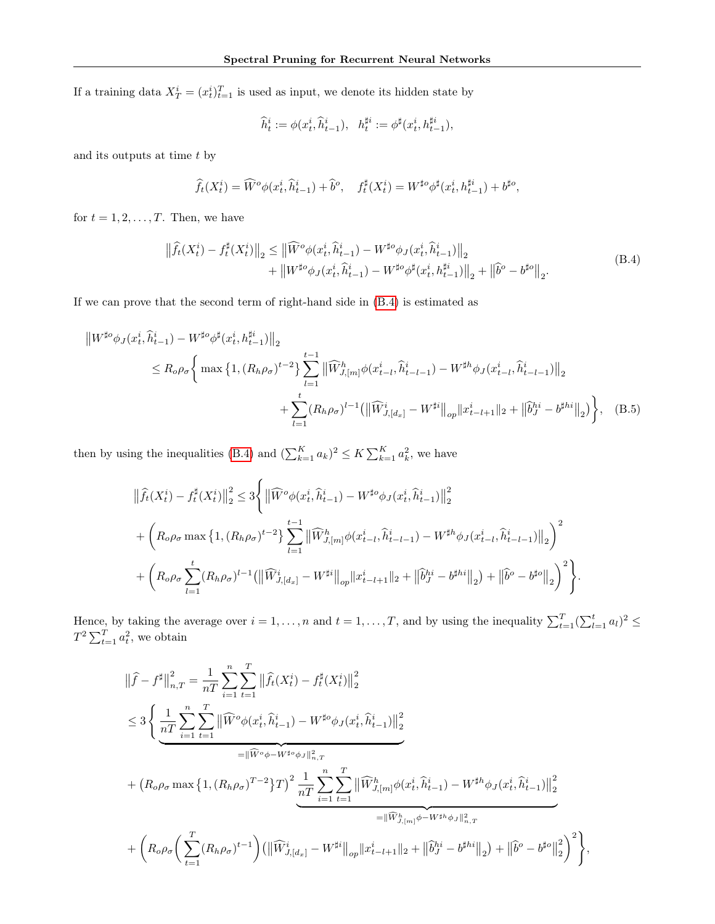If a training data  $X_T^i = (x_t^i)_{t=1}^T$  is used as input, we denote its hidden state by

<span id="page-13-1"></span>
$$
\widehat h^i_t:=\phi(x^i_t,\widehat h^i_{t-1}),\ \ h^{\sharp i}_t:=\phi^{\sharp}(x^i_t,h^{\sharp i}_{t-1}),
$$

and its outputs at time  $t$  by

$$
\widehat{f}_t(X_t^i) = \widehat{W}^o\phi(x_t^i, \widehat{h}_{t-1}^i) + \widehat{b}^o, \quad f_t^{\sharp}(X_t^i) = W^{\sharp o}\phi^{\sharp}(x_t^i, h_{t-1}^{\sharp i}) + b^{\sharp o},
$$

<span id="page-13-0"></span>for  $t = 1, 2, \ldots, T$ . Then, we have

$$
\begin{split} \left\| \widehat{f}_{t}(X_{t}^{i}) - f_{t}^{\sharp}(X_{t}^{i}) \right\|_{2} &\leq \left\| \widehat{W}^{o}\phi(x_{t}^{i}, \widehat{h}_{t-1}^{i}) - W^{\sharp o}\phi_{J}(x_{t}^{i}, \widehat{h}_{t-1}^{i}) \right\|_{2} \\ &+ \left\| W^{\sharp o}\phi_{J}(x_{t}^{i}, \widehat{h}_{t-1}^{i}) - W^{\sharp o}\phi^{\sharp}(x_{t}^{i}, h_{t-1}^{\sharp i}) \right\|_{2} + \left\| \widehat{b}^{o} - b^{\sharp o} \right\|_{2} . \end{split} \tag{B.4}
$$

If we can prove that the second term of right-hand side in [\(B.4\)](#page-13-0) is estimated as

$$
\|W^{\sharp o}\phi_{J}(x_{t}^{i},\hat{h}_{t-1}^{i}) - W^{\sharp o}\phi^{\sharp}(x_{t}^{i},h_{t-1}^{\sharp i})\|_{2}
$$
  
\n
$$
\leq R_{o}\rho_{\sigma}\Biggl\{\max\big\{1,(R_{h}\rho_{\sigma})^{t-2}\big\}\sum_{l=1}^{t-1}\|\widehat{W}_{J,[m]}^{h}\phi(x_{t-l}^{i},\hat{h}_{t-l-1}^{i}) - W^{\sharp h}\phi_{J}(x_{t-l}^{i},\hat{h}_{t-l-1}^{i})\|_{2}
$$
  
\n
$$
+\sum_{l=1}^{t}(R_{h}\rho_{\sigma})^{l-1}\big(\|\widehat{W}_{J,[dz]}^{i} - W^{\sharp i}\|_{op}\|x_{t-l+1}^{i}\|_{2} + \|\widehat{b}_{J}^{hi} - b^{\sharp hi}\|_{2}\big)\Biggr\}, \quad (B.5)
$$

then by using the inequalities [\(B.4\)](#page-13-0) and  $(\sum_{k=1}^{K} a_k)^2 \leq K \sum_{k=1}^{K} a_k^2$ , we have

$$
\begin{split} & \left\| \widehat{f}_{t}(X_t^i) - f_t^{\sharp}(X_t^i) \right\|_2^2 \leq 3 \Bigg\{ \left\| \widehat{W}^o \phi(x_t^i, \widehat{h}_{t-1}^i) - W^{\sharp o} \phi_J(x_t^i, \widehat{h}_{t-1}^i) \right\|_2^2 \\ & + \left( R_o \rho_\sigma \max\left\{ 1, (R_h \rho_\sigma)^{t-2} \right\} \sum_{l=1}^{t-1} \left\| \widehat{W}_{J, [m]}^h \phi(x_{t-l}^i, \widehat{h}_{t-l-1}^i) - W^{\sharp h} \phi_J(x_{t-l}^i, \widehat{h}_{t-l-1}^i) \right\|_2 \right)^2 \\ & + \left( R_o \rho_\sigma \sum_{l=1}^t (R_h \rho_\sigma)^{l-1} \left( \left\| \widehat{W}_{J, [d_x]}^i - W^{\sharp i} \right\|_{op} \|x_{t-l+1}^i\|_2 + \left\| \widehat{b}_J^{hi} - b^{\sharp hi} \right\|_2 \right) + \left\| \widehat{b}^o - b^{\sharp o} \right\|_2 \right)^2 \Bigg\}. \end{split}
$$

Hence, by taking the average over  $i = 1, \ldots, n$  and  $t = 1, \ldots, T$ , and by using the inequality  $\sum_{t=1}^{T} (\sum_{l=1}^{t} a_l)^2 \leq$  $T^2 \sum_{t=1}^T a_t^2$ , we obtain

$$
\begin{split} \left\|\widehat{f}-f^{\sharp}\right\|^{2}_{n,T} &= \frac{1}{nT} \sum_{i=1}^{n} \sum_{t=1}^{T} \left\|\widehat{f}_{t}(X^{i}_{t})-f^{\sharp}_{t}(X^{i}_{t})\right\|^{2}_{2} \\ &\leq 3 \left\{\underbrace{\frac{1}{nT} \sum_{i=1}^{n} \sum_{t=1}^{T} \left\|\widehat{W}^{o}\phi(x^{i}_{t}, \widehat{h}^{i}_{t-1})-W^{\sharp o}\phi_{J}(x^{i}_{t}, \widehat{h}^{i}_{t-1})\right\|^{2}_{2}}_{= \|\widehat{W}^{o}\phi-W^{\sharp o}\phi_{J}\|^{2}_{n,T}} \\ &+ \left(R_{o}\rho_{\sigma}\max\left\{1,(R_{h}\rho_{\sigma})^{T-2}\right\}T\right)^{2} \underbrace{\frac{1}{nT} \sum_{i=1}^{n} \sum_{t=1}^{T} \left\|\widehat{W}^{h}_{J,[m]}\phi(x^{i}_{t}, \widehat{h}^{i}_{t-1})-W^{\sharp h}\phi_{J}(x^{i}_{t}, \widehat{h}^{i}_{t-1})\right\|^{2}_{2}}_{= \|\widehat{W}^{h}_{J,[m]}\phi-W^{\sharp h}\phi_{J}\|^{2}_{n,T}} \\ &+ \left(R_{o}\rho_{\sigma}\left(\sum_{t=1}^{T}(R_{h}\rho_{\sigma})^{t-1}\right)\left(\left\|\widehat{W}^{i}_{J,[d_{x}]}-W^{\sharp i}\right\|_{op}\|x^{i}_{t-l+1}\|_{2}+\left\|\widehat{b}^{hi}_{j}-b^{\sharp hi}\right\|_{2}\right)+\left\|\widehat{b}^{o}-b^{\sharp o}\right\|^{2}_{2}\right)^{2}\right\}, \end{split}
$$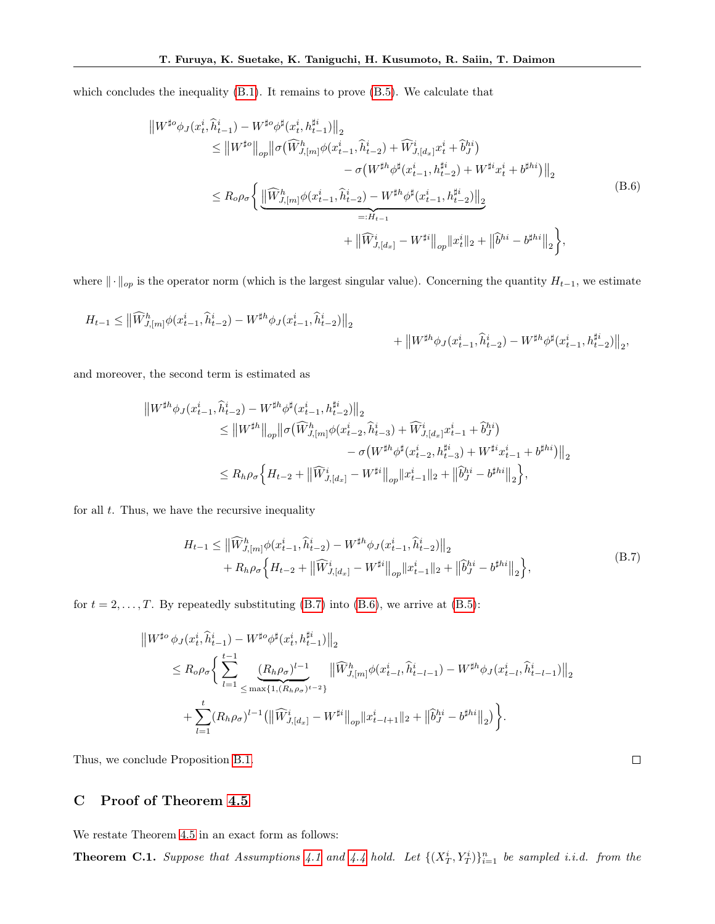<span id="page-14-3"></span>which concludes the inequality  $(B.1)$ . It remains to prove  $(B.5)$ . We calculate that

$$
\|W^{\sharp o}\phi_{J}(x_{t}^{i},\hat{h}_{t-1}^{i}) - W^{\sharp o}\phi^{\sharp}(x_{t}^{i},h_{t-1}^{\sharp i})\|_{2} \n\leq \|W^{\sharp o}\|_{op} \|\sigma(\widehat{W}_{J,[m]}^{h}\phi(x_{t-1}^{i},\hat{h}_{t-2}^{i}) + \widehat{W}_{J,[d_{x}]}^{i}x_{t}^{i} + \widehat{b}_{J}^{hi}) \n- \sigma(W^{\sharp h}\phi^{\sharp}(x_{t-1}^{i},h_{t-2}^{\sharp i}) + W^{\sharp i}x_{t}^{i} + b^{\sharp hi})\|_{2} \n\leq R_{o}\rho_{\sigma} \Biggl\{ \underbrace{\|\widehat{W}_{J,[m]}^{h}\phi(x_{t-1}^{i},\hat{h}_{t-2}^{i}) - W^{\sharp h}\phi^{\sharp}(x_{t-1}^{i},h_{t-2}^{\sharp i})\|_{2}}_{=:H_{t-1}} \n+ \|\widehat{W}_{J,[d_{x}]}^{i} - W^{\sharp i}\|_{op} \|x_{t}^{i}\|_{2} + \|\widehat{b}^{hi} - b^{\sharp hi}\|_{2} \Biggr\},
$$
\n(B.6)

where  $\|\cdot\|_{op}$  is the operator norm (which is the largest singular value). Concerning the quantity  $H_{t-1}$ , we estimate

$$
\label{eq:2} \begin{split} H_{t-1} & \leq \big\| \widehat{W}^h_{J,[m]} \phi(x_{t-1}^i,\widehat{h}_{t-2}^i) - W^{\sharp h} \phi_J(x_{t-1}^i,\widehat{h}_{t-2}^i) \big\|_2 \\ & + \big\| W^{\sharp h} \phi_J(x_{t-1}^i,\widehat{h}_{t-2}^i) - W^{\sharp h} \phi^\sharp(x_{t-1}^i,h_{t-2}^{\sharp i}) \big\|_2, \end{split}
$$

and moreover, the second term is estimated as

$$
\|W^{\sharp h}\phi_J(x_{t-1}^i,\hat{h}_{t-2}^i) - W^{\sharp h}\phi^{\sharp}(x_{t-1}^i,h_{t-2}^{\sharp i})\|_2
$$
  
\n
$$
\leq \|W^{\sharp h}\|_{op} \|\sigma(\widehat{W}_{J,[m]}^h\phi(x_{t-2}^i,\hat{h}_{t-3}^i) + \widehat{W}_{J,[d_x]}^i x_{t-1}^i + \widehat{b}_J^{hi})
$$
  
\n
$$
- \sigma(W^{\sharp h}\phi^{\sharp}(x_{t-2}^i,h_{t-3}^{\sharp i}) + W^{\sharp i}x_{t-1}^i + b^{\sharp hi})\|_2
$$
  
\n
$$
\leq R_h \rho_\sigma \Big\{H_{t-2} + \|\widehat{W}_{J,[d_x]}^i - W^{\sharp i}\|_{op} \|x_{t-1}^i\|_2 + \|\widehat{b}_J^{hi} - b^{\sharp hi}\|_2 \Big\},
$$

<span id="page-14-2"></span>for all  $t$ . Thus, we have the recursive inequality

$$
H_{t-1} \leq \left\| \widehat{W}_{J,[m]}^{h} \phi(x_{t-1}^{i}, \widehat{h}_{t-2}^{i}) - W^{\sharp h} \phi_{J}(x_{t-1}^{i}, \widehat{h}_{t-2}^{i}) \right\|_{2} + R_{h} \rho_{\sigma} \left\{ H_{t-2} + \left\| \widehat{W}_{J,[d_{x}]}^{i} - W^{\sharp i} \right\|_{op} \|x_{t-1}^{i}\|_{2} + \left\| \widehat{b}_{J}^{hi} - b^{\sharp hi} \right\|_{2} \right\},
$$
\n(B.7)

 $\Box$ 

for  $t = 2, \ldots, T$ . By repeatedly substituting [\(B.7\)](#page-14-2) into [\(B.6\)](#page-14-3), we arrive at [\(B.5\)](#page-13-1):

$$
\|W^{\sharp o}\phi_{J}(x_{t}^{i},\hat{h}_{t-1}^{i}) - W^{\sharp o}\phi^{\sharp}(x_{t}^{i},h_{t-1}^{\sharp i})\|_{2} \n\leq R_{o}\rho_{\sigma}\Big\{\sum_{l=1}^{t-1}\underbrace{(R_{h}\rho_{\sigma})^{l-1}}_{\leq \max\{1,(R_{h}\rho_{\sigma})^{t-2}\}}\|\widehat{W}_{J,[m]}^{h}\phi(x_{t-l}^{i},\hat{h}_{t-l-1}^{i}) - W^{\sharp h}\phi_{J}(x_{t-l}^{i},\hat{h}_{t-l-1}^{i})\|_{2} \n+ \sum_{l=1}^{t}(R_{h}\rho_{\sigma})^{l-1}(\|\widehat{W}_{J,[d_{x}]}^{i} - W^{\sharp i}\|_{op}\|x_{t-l+1}^{i}\|_{2} + \|\widehat{b}_{J}^{hi} - b^{\sharp hi}\|_{2})\Big\}.
$$

Thus, we conclude Proposition [B.1.](#page-12-2)

# <span id="page-14-1"></span>C Proof of Theorem [4.5](#page-5-0)

We restate Theorem [4.5](#page-5-0) in an exact form as follows:

<span id="page-14-0"></span>**Theorem C.1.** Suppose that Assumptions [4.1](#page-4-3) and [4.4](#page-5-2) hold. Let  $\{(X_T^i, Y_T^i)\}_{i=1}^n$  be sampled i.i.d. from the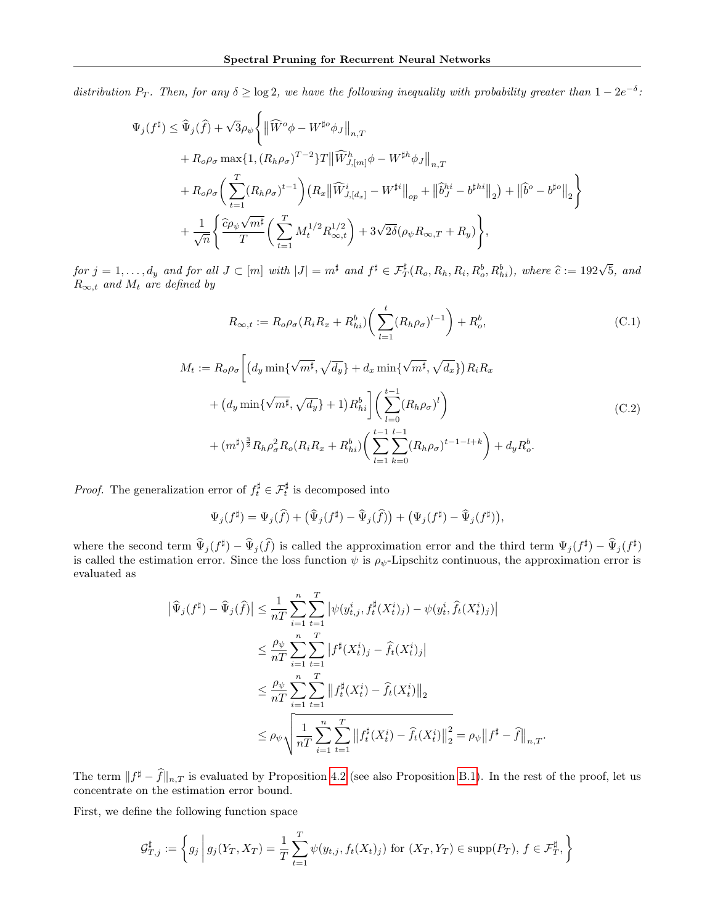distribution  $P_T$ . Then, for any  $\delta \geq \log 2$ , we have the following inequality with probability greater than  $1 - 2e^{-\delta}$ .

$$
\Psi_j(f^{\sharp}) \leq \widehat{\Psi}_j(\widehat{f}) + \sqrt{3}\rho_{\psi} \Big\{ \|\widehat{W}^o \phi - W^{\sharp o} \phi_J\|_{n,T} \n+ R_o \rho_{\sigma} \max\{1, (R_h \rho_{\sigma})^{T-2}\} T \|\widehat{W}_{J,[m]}^h \phi - W^{\sharp h} \phi_J\|_{n,T} \n+ R_o \rho_{\sigma} \Big(\sum_{t=1}^T (R_h \rho_{\sigma})^{t-1}\Big) (R_x \|\widehat{W}_{J,[dz]}^i - W^{\sharp i}\|_{op} + \|\widehat{b}_J^{hi} - b^{\sharp hi}\|_2) + \|\widehat{b}^o - b^{\sharp o}\|_2 \Big\} \n+ \frac{1}{\sqrt{n}} \Big\{ \frac{\widehat{c}\rho_{\psi} \sqrt{m^{\sharp}}}{T} \Big(\sum_{t=1}^T M_t^{1/2} R_{\infty,t}^{1/2}\Big) + 3\sqrt{2\delta} (\rho_{\psi} R_{\infty,T} + R_y) \Big\},
$$

for  $j = 1, ..., d_y$  and for all  $J \subset [m]$  with  $|J| = m^{\sharp}$  and  $f^{\sharp} \in \mathcal{F}_T^{\sharp}(R_o, R_h, R_i, R_o^b, R_{hi}^b)$ , where  $\widehat{c} := 192\sqrt{5}$ , and  $R_o$  and  $M$  are defined by  $R_{\infty,t}$  and  $M_t$  are defined by

<span id="page-15-0"></span>
$$
R_{\infty,t} := R_o \rho_\sigma (R_i R_x + R_{hi}^b) \bigg( \sum_{l=1}^t (R_h \rho_\sigma)^{l-1} \bigg) + R_o^b,
$$
\n(C.1)

$$
M_{t} := R_{o}\rho_{\sigma} \left[ \left( d_{y} \min \{ \sqrt{m^{\sharp}}, \sqrt{d_{y}} \} + d_{x} \min \{ \sqrt{m^{\sharp}}, \sqrt{d_{x}} \} \right) R_{i} R_{x} \right]
$$

$$
+ \left( d_{y} \min \{ \sqrt{m^{\sharp}}, \sqrt{d_{y}} \} + 1 \right) R_{hi}^{b} \right] \left( \sum_{l=0}^{t-1} (R_{h}\rho_{\sigma})^{l} \right)
$$

$$
+ (m^{\sharp})^{\frac{3}{2}} R_{h} \rho_{\sigma}^{2} R_{o} (R_{i} R_{x} + R_{hi}^{b}) \left( \sum_{l=1}^{t-1} \sum_{k=0}^{l-1} (R_{h}\rho_{\sigma})^{t-1-l+k} \right) + d_{y} R_{o}^{b}.
$$
 (C.2)

<span id="page-15-1"></span>*Proof.* The generalization error of  $f_t^{\sharp} \in \mathcal{F}_t^{\sharp}$  is decomposed into

$$
\Psi_j(f^{\sharp}) = \Psi_j(\widehat{f}) + (\widehat{\Psi}_j(f^{\sharp}) - \widehat{\Psi}_j(\widehat{f})) + (\Psi_j(f^{\sharp}) - \widehat{\Psi}_j(f^{\sharp})),
$$

where the second term  $\hat{\Psi}_j(f^{\sharp}) - \hat{\Psi}_j(\hat{f})$  is called the approximation error and the third term  $\Psi_j(f^{\sharp}) - \hat{\Psi}_j(f^{\sharp})$ is called the estimation error. Since the loss function  $\psi$  is  $\rho_{\psi}$ -Lipschitz continuous, the approximation error is evaluated as

$$
\begin{split} \left| \widehat{\Psi}_j(f^{\sharp}) - \widehat{\Psi}_j(\widehat{f}) \right| &\leq \frac{1}{nT} \sum_{i=1}^n \sum_{t=1}^T \left| \psi(y_{t,j}^i, f_t^{\sharp}(X_t^i)_j) - \psi(y_t^i, \widehat{f}_t(X_t^i)_j) \right| \\ &\leq \frac{\rho_{\psi}}{nT} \sum_{i=1}^n \sum_{t=1}^T \left| f^{\sharp}(X_t^i)_j - \widehat{f}_t(X_t^i)_j \right| \\ &\leq \frac{\rho_{\psi}}{nT} \sum_{i=1}^n \sum_{t=1}^T \left\| f_t^{\sharp}(X_t^i) - \widehat{f}_t(X_t^i) \right\|_2 \\ &\leq \rho_{\psi} \sqrt{\frac{1}{nT} \sum_{i=1}^n \sum_{t=1}^T \left\| f_t^{\sharp}(X_t^i) - \widehat{f}_t(X_t^i) \right\|_2^2} = \rho_{\psi} \left\| f^{\sharp} - \widehat{f} \right\|_{n,T}. \end{split}
$$

The term  $|| f^{\sharp} - \hat{f} ||_{n,T}$  is evaluated by Proposition [4.2](#page-4-5) (see also Proposition [B.1\)](#page-12-2). In the rest of the proof, let us concentrate on the estimation error bound.

First, we define the following function space

$$
\mathcal{G}_{T,j}^{\sharp} := \left\{ g_j \, \middle| \, g_j(Y_T, X_T) = \frac{1}{T} \sum_{t=1}^T \psi(y_{t,j}, f_t(X_t)_j) \text{ for } (X_T, Y_T) \in \text{supp}(P_T), \, f \in \mathcal{F}_T^{\sharp}, \right\}
$$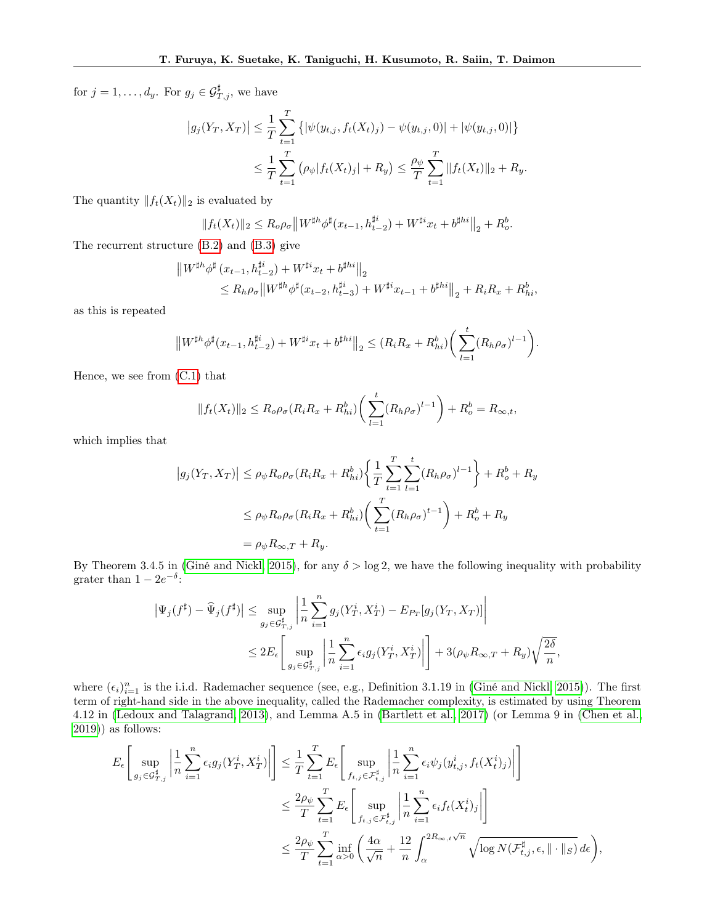for  $j = 1, \ldots, d_y$ . For  $g_j \in \mathcal{G}_{T,j}^{\sharp}$ , we have

$$
\left| g_j(Y_T, X_T) \right| \leq \frac{1}{T} \sum_{t=1}^T \left\{ \left| \psi(y_{t,j}, f_t(X_t)_j) - \psi(y_{t,j}, 0) \right| + \left| \psi(y_{t,j}, 0) \right| \right\}
$$
  

$$
\leq \frac{1}{T} \sum_{t=1}^T \left( \rho_{\psi} | f_t(X_t)_j + R_y \right) \leq \frac{\rho_{\psi}}{T} \sum_{t=1}^T \| f_t(X_t) \|_2 + R_y.
$$

The quantity  $||f_t(X_t)||_2$  is evaluated by

$$
||f_t(X_t)||_2 \le R_o \rho_\sigma ||W^{\sharp h} \phi^{\sharp}(x_{t-1}, h_{t-2}^{\sharp i}) + W^{\sharp i} x_t + b^{\sharp h i}||_2 + R_o^b.
$$

The recurrent structure [\(B.2\)](#page-12-3) and [\(B.3\)](#page-12-4) give

$$
\|W^{\sharp h}\phi^{\sharp}(x_{t-1}, h_{t-2}^{\sharp i}) + W^{\sharp i}x_t + b^{\sharp h i}\|_2
$$
  
\n
$$
\leq R_h \rho_\sigma \|W^{\sharp h}\phi^{\sharp}(x_{t-2}, h_{t-3}^{\sharp i}) + W^{\sharp i}x_{t-1} + b^{\sharp h i}\|_2 + R_i R_x + R_{hi}^b,
$$

as this is repeated

$$
\left\|W^{\sharp h}\phi^{\sharp}(x_{t-1}, h_{t-2}^{\sharp i}) + W^{\sharp i}x_t + b^{\sharp hi}\right\|_{2} \leq (R_i R_x + R_{hi}^b) \bigg(\sum_{l=1}^{t} (R_h \rho_{\sigma})^{l-1}\bigg).
$$

Hence, we see from [\(C.1\)](#page-15-0) that

$$
||f_t(X_t)||_2 \le R_o \rho_\sigma (R_i R_x + R_{hi}^b) \bigg( \sum_{l=1}^t (R_h \rho_\sigma)^{l-1} \bigg) + R_o^b = R_{\infty, t},
$$

which implies that

$$
|g_j(Y_T, X_T)| \le \rho_{\psi} R_o \rho_{\sigma} (R_i R_x + R_{hi}^b) \left\{ \frac{1}{T} \sum_{t=1}^T \sum_{l=1}^t (R_h \rho_{\sigma})^{l-1} \right\} + R_o^b + R_y
$$
  

$$
\le \rho_{\psi} R_o \rho_{\sigma} (R_i R_x + R_{hi}^b) \left( \sum_{t=1}^T (R_h \rho_{\sigma})^{t-1} \right) + R_o^b + R_y
$$
  

$$
= \rho_{\psi} R_{\infty, T} + R_y.
$$

By Theorem 3.4.5 in [\(Giné and Nickl, 2015\)](#page-9-22), for any  $\delta > \log 2$ , we have the following inequality with probability grater than  $1 - 2e^{-\delta}$ :

$$
\left| \Psi_j(f^{\sharp}) - \widehat{\Psi}_j(f^{\sharp}) \right| \leq \sup_{g_j \in \mathcal{G}_{T,j}^{\sharp}} \left| \frac{1}{n} \sum_{i=1}^n g_j(Y_T^i, X_T^i) - E_{P_T}[g_j(Y_T, X_T)] \right|
$$
  

$$
\leq 2E_{\epsilon} \left[ \sup_{g_j \in \mathcal{G}_{T,j}^{\sharp}} \left| \frac{1}{n} \sum_{i=1}^n \epsilon_i g_j(Y_T^i, X_T^i) \right| \right] + 3(\rho_{\psi} R_{\infty, T} + R_y) \sqrt{\frac{2\delta}{n}},
$$

where  $(\epsilon_i)_{i=1}^n$  is the i.i.d. Rademacher sequence (see, e.g., Definition 3.1.19 in [\(Giné and Nickl, 2015\)](#page-9-22)). The first term of right-hand side in the above inequality, called the Rademacher complexity, is estimated by using Theorem 4.12 in [\(Ledoux and Talagrand, 2013\)](#page-9-23), and Lemma A.5 in [\(Bartlett et al., 2017\)](#page-8-5) (or Lemma 9 in [\(Chen et al.,](#page-9-17)  $2019)$ ) as follows:

$$
E_{\epsilon}\left[\sup_{g_j \in \mathcal{G}_{T,j}^{\sharp}}\left|\frac{1}{n}\sum_{i=1}^n \epsilon_i g_j(Y_T^i, X_T^i)\right|\right] \leq \frac{1}{T} \sum_{t=1}^T E_{\epsilon}\left[\sup_{f_{t,j} \in \mathcal{F}_{t,j}^{\sharp}}\left|\frac{1}{n}\sum_{i=1}^n \epsilon_i \psi_j(y_{t,j}^i, f_t(X_t^i)_j)\right|\right]
$$
  

$$
\leq \frac{2\rho_{\psi}}{T} \sum_{t=1}^T E_{\epsilon}\left[\sup_{f_{t,j} \in \mathcal{F}_{t,j}^{\sharp}}\left|\frac{1}{n}\sum_{i=1}^n \epsilon_i f_t(X_t^i)_j\right|\right]
$$
  

$$
\leq \frac{2\rho_{\psi}}{T} \sum_{t=1}^T \inf_{\alpha > 0} \left(\frac{4\alpha}{\sqrt{n}} + \frac{12}{n} \int_{\alpha}^{2R_{\infty,t}\sqrt{n}} \sqrt{\log N(\mathcal{F}_{t,j}^{\sharp}, \epsilon, \| \cdot \|_S)} d\epsilon\right),
$$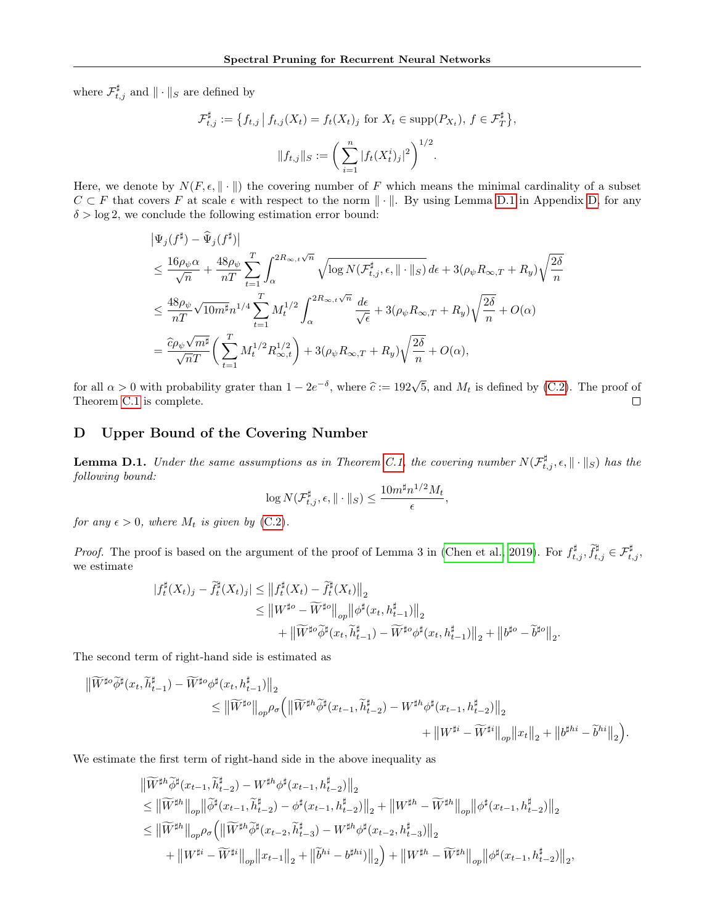where  $\mathcal{F}_{t,j}^{\sharp}$  and  $\|\cdot\|_{S}$  are defined by

$$
\mathcal{F}_{t,j}^{\sharp} := \{ f_{t,j} \mid f_{t,j}(X_t) = f_t(X_t)_j \text{ for } X_t \in \text{supp}(P_{X_t}), f \in \mathcal{F}_T^{\sharp} \},
$$

$$
\| f_{t,j} \|_{S} := \left( \sum_{i=1}^n |f_t(X_t^i)_j|^2 \right)^{1/2}.
$$

Here, we denote by  $N(F, \epsilon, \|\cdot\|)$  the covering number of F which means the minimal cardinality of a subset  $C \subset F$  that covers F at scale  $\epsilon$  with respect to the norm  $\|\cdot\|$ . By using Lemma [D.1](#page-17-0) in Appendix [D,](#page-17-1) for any  $\delta > \log 2$ , we conclude the following estimation error bound:

$$
\begin{split} &\left|\Psi_j(f^\sharp) - \widehat{\Psi}_j(f^\sharp)\right|\\ &\leq \frac{16\rho_\psi\alpha}{\sqrt{n}} + \frac{48\rho_\psi}{nT}\sum_{t=1}^T\int_\alpha^{2R_{\infty,t}\sqrt{n}}\sqrt{\log N(\mathcal{F}_{t,j}^\sharp,\epsilon,\|\cdot\|_S)}\,d\epsilon + 3(\rho_\psi R_{\infty,T} + R_y)\sqrt{\frac{2\delta}{n}}\\ &\leq \frac{48\rho_\psi}{nT}\sqrt{10m^\sharp}n^{1/4}\sum_{t=1}^T M_t^{1/2}\int_\alpha^{2R_{\infty,t}\sqrt{n}}\frac{d\epsilon}{\sqrt{\epsilon}} + 3(\rho_\psi R_{\infty,T} + R_y)\sqrt{\frac{2\delta}{n}} + O(\alpha)\\ &= \frac{\widehat{c}\rho_\psi\sqrt{m^\sharp}}{\sqrt{nT}}\bigg(\sum_{t=1}^T M_t^{1/2}R_{\infty,t}^{1/2}\bigg) + 3(\rho_\psi R_{\infty,T} + R_y)\sqrt{\frac{2\delta}{n}} + O(\alpha), \end{split}
$$

for all  $\alpha > 0$  with probability grater than  $1 - 2e^{-\delta}$ , where  $\hat{c} := 192\sqrt{5}$ , and  $M_t$  is defined by [\(C.2\)](#page-15-1). The proof of Theorem [C.1](#page-14-0) is complete.  $\Box$ 

## <span id="page-17-1"></span>D Upper Bound of the Covering Number

<span id="page-17-0"></span>**Lemma D.1.** Under the same assumptions as in Theorem [C.1,](#page-14-0) the covering number  $N(\mathcal{F}^{\sharp}_{t,j}, \epsilon, \|\cdot\|_S)$  has the following bound:  $1/2$ 

$$
\log N(\mathcal{F}_{t,j}^{\sharp}, \epsilon, \|\cdot\|_{S}) \leq \frac{10m^{\sharp}n^{1/2}M_{t}}{\epsilon},
$$

for any  $\epsilon > 0$ , where  $M_t$  is given by [\(C.2\)](#page-15-1).

*Proof.* The proof is based on the argument of the proof of Lemma 3 in [\(Chen et al., 2019\)](#page-9-17). For  $f_{t,j}^{\sharp}$ ,  $\tilde{f}_{t,j}^{\sharp} \in \mathcal{F}_{t,j}^{\sharp}$ , we estimate

$$
\begin{aligned} |f_t^{\sharp}(X_t)_{j}-\widetilde{f}_t^{\sharp}(X_t)_{j}|&\leq\big\|f_t^{\sharp}(X_t)-\widetilde{f}_t^{\sharp}(X_t)\big\|_{2}\\ &\leq\big\|W^{\sharp o}-\widetilde{W}^{\sharp o}\big\|_{op}\big\|\phi^{\sharp}(x_t,h_{t-1}^{\sharp})\big\|_{2}\\ &\qquad+\big\|\widetilde{W}^{\sharp o}\widetilde{\phi}^{\sharp}(x_t,\widetilde{h}_{t-1}^{\sharp})-\widetilde{W}^{\sharp o}\phi^{\sharp}(x_t,h_{t-1}^{\sharp})\big\|_{2}+\big\|b^{\sharp o}-\widetilde{b}^{\sharp o}\big\|_{2}. \end{aligned}
$$

The second term of right-hand side is estimated as

$$
\begin{aligned} \big\| \widetilde{W}^{\sharp o} \widetilde{\phi}^{\sharp}(x_t,\widetilde{h}^{\sharp}_{t-1}) - \widetilde{W}^{\sharp o} \phi^{\sharp}(x_t,h^{\sharp}_{t-1}) \big\|_2 \\ & \qquad \leq \big\| \widetilde{W}^{\sharp o} \big\|_{op} \rho_{\sigma} \Big( \big\| \widetilde{W}^{\sharp h} \widetilde{\phi}^{\sharp}(x_{t-1},\widetilde{h}^{\sharp}_{t-2}) - W^{\sharp h} \phi^{\sharp}(x_{t-1},h^{\sharp}_{t-2}) \big\|_2 \\ & \qquad \qquad + \big\| W^{\sharp i} - \widetilde{W}^{\sharp i} \big\|_{op} \big\| x_t \big\|_2 + \big\| b^{\sharp hi} - \widetilde{b}^{hi} \big\|_2 \Big). \end{aligned}
$$

We estimate the first term of right-hand side in the above inequality as

$$
\label{eq:3.16} \begin{split} &\big\| \widetilde{W}^{\sharp h} \widetilde{\phi}^{\sharp}(x_{t-1}, \widetilde{h}^{\sharp}_{t-2}) - W^{\sharp h} \phi^{\sharp}(x_{t-1}, h^{\sharp}_{t-2}) \big\|_2 \\ & \leq \big\| \widetilde{W}^{\sharp h} \big\|_{op} \big\| \widetilde{\phi}^{\sharp}(x_{t-1}, \widetilde{h}^{\sharp}_{t-2}) - \phi^{\sharp}(x_{t-1}, h^{\sharp}_{t-2}) \big\|_2 + \big\| W^{\sharp h} - \widetilde{W}^{\sharp h} \big\|_{op} \big\| \phi^{\sharp}(x_{t-1}, h^{\sharp}_{t-2}) \big\|_2 \\ & \leq \big\| \widetilde{W}^{\sharp h} \big\|_{op} \rho_{\sigma} \Big( \big\| \widetilde{W}^{\sharp h} \widetilde{\phi}^{\sharp}(x_{t-2}, \widetilde{h}^{\sharp}_{t-3}) - W^{\sharp h} \phi^{\sharp}(x_{t-2}, h^{\sharp}_{t-3}) \big\|_2 \\ & \qquad \qquad + \big\| W^{\sharp i} - \widetilde{W}^{\sharp i} \big\|_{op} \big\| x_{t-1} \big\|_2 + \big\| \widetilde{b}^{hi} - b^{\sharp hi} \big) \big\|_2 \Big) + \big\| W^{\sharp h} - \widetilde{W}^{\sharp h} \big\|_{op} \big\| \phi^{\sharp}(x_{t-1}, h^{\sharp}_{t-2}) \big\|_2, \end{split}
$$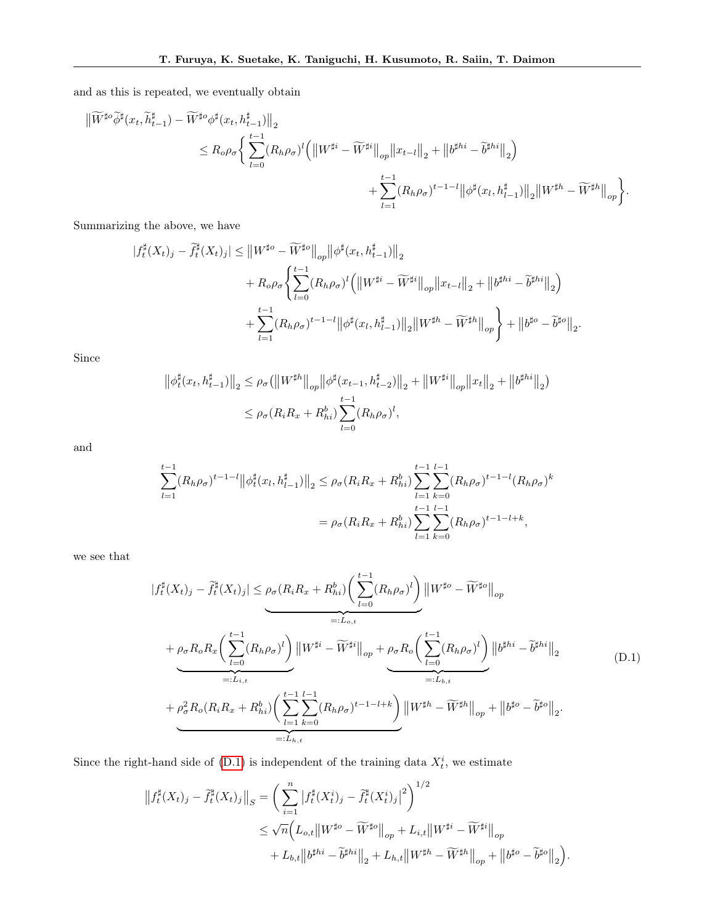and as this is repeated, we eventually obtain

$$
\begin{split} \left\| \widetilde{W}^{\sharp o} \widetilde{\phi}^{\sharp}(x_{t}, \widetilde{h}_{t-1}^{\sharp}) - \widetilde{W}^{\sharp o} \phi^{\sharp}(x_{t}, h_{t-1}^{\sharp}) \right\|_{2} \\ & \leq R_{o} \rho_{\sigma} \bigg\{ \sum_{l=0}^{t-1} (R_{h} \rho_{\sigma})^{l} \Big( \left\| W^{\sharp i} - \widetilde{W}^{\sharp i} \right\|_{op} \left\| x_{t-l} \right\|_{2} + \left\| b^{\sharp hi} - \widetilde{b}^{\sharp hi} \right\|_{2} \Big) \\ & \qquad \qquad + \sum_{l=1}^{t-1} (R_{h} \rho_{\sigma})^{t-1-l} \left\| \phi^{\sharp}(x_{l}, h_{l-1}^{\sharp}) \right\|_{2} \left\| W^{\sharp h} - \widetilde{W}^{\sharp h} \right\|_{op} \bigg\} . \end{split}
$$

Summarizing the above, we have

$$
\begin{split} |f_t^{\sharp}(X_t)_j - \widetilde{f}_t^{\sharp}(X_t)_j| &\leq \left\|W^{\sharp o} - \widetilde{W}^{\sharp o}\right\|_{op} \left\|\phi^{\sharp}(x_t, h_{t-1}^{\sharp})\right\|_{2} \\ &+ R_o\rho_\sigma \Biggl\{ \sum_{l=0}^{t-1} (R_h\rho_\sigma)^l \Bigl( \left\|W^{\sharp i} - \widetilde{W}^{\sharp i}\right\|_{op} \left\|x_{t-l}\right\|_{2} + \left\|b^{\sharp hi} - \widetilde{b}^{\sharp hi}\right\|_{2} \Bigr) \\ &+ \sum_{l=1}^{t-1} (R_h\rho_\sigma)^{t-1-l} \left\|\phi^{\sharp}(x_l, h_{l-1}^{\sharp})\right\|_{2} \left\|W^{\sharp h} - \widetilde{W}^{\sharp h}\right\|_{op} \Biggr\} + \left\|b^{\sharp o} - \widetilde{b}^{\sharp o}\right\|_{2} . \end{split}
$$

Since

$$
\|\phi_t^{\sharp}(x_t, h_{t-1}^{\sharp})\|_2 \leq \rho_{\sigma}(\|W^{\sharp h}\|_{op} \|\phi^{\sharp}(x_{t-1}, h_{t-2}^{\sharp})\|_2 + \|W^{\sharp i}\|_{op} \|x_t\|_2 + \|b^{\sharp hi}\|_2)
$$
  

$$
\leq \rho_{\sigma}(R_i R_x + R_{hi}^b) \sum_{l=0}^{t-1} (R_h \rho_{\sigma})^l,
$$

and

$$
\sum_{l=1}^{t-1} (R_h \rho_\sigma)^{t-1-l} \|\phi_t^{\sharp}(x_l, h_{l-1}^{\sharp})\|_2 \leq \rho_\sigma(R_i R_x + R_{hi}^b) \sum_{l=1}^{t-1} \sum_{k=0}^{l-1} (R_h \rho_\sigma)^{t-1-l} (R_h \rho_\sigma)^k
$$

$$
= \rho_\sigma(R_i R_x + R_{hi}^b) \sum_{l=1}^{t-1} \sum_{k=0}^{l-1} (R_h \rho_\sigma)^{t-1-l+k},
$$

<span id="page-18-0"></span>we see that

$$
|f_t^{\sharp}(X_t)_j - \tilde{f}_t^{\sharp}(X_t)_j| \leq \rho_{\sigma}(R_i R_x + R_{hi}^b) \left(\sum_{l=0}^{t-1} (R_h \rho_{\sigma})^l\right) \|W^{\sharp o} - \widetilde{W}^{\sharp o}\|_{op}
$$
  
\n
$$
+ \rho_{\sigma} R_{\sigma} R_x \left(\sum_{l=0}^{t-1} (R_h \rho_{\sigma})^l\right) \|W^{\sharp i} - \widetilde{W}^{\sharp i}\|_{op} + \rho_{\sigma} R_{\sigma} \left(\sum_{l=0}^{t-1} (R_h \rho_{\sigma})^l\right) \|b^{\sharp hi} - \widetilde{b}^{\sharp hi}\|_{2}
$$
  
\n
$$
+ \rho_{\sigma}^2 R_{\sigma} (R_i R_x + R_{hi}^b) \left(\sum_{l=1}^{t-1} \sum_{k=0}^{l-1} (R_h \rho_{\sigma})^{t-1-l+k}\right) \|W^{\sharp h} - \widetilde{W}^{\sharp h}\|_{op} + \|b^{\sharp o} - \widetilde{b}^{\sharp o}\|_{2}.
$$
  
\n
$$
=: L_{h,t}
$$
 (D.1)

Since the right-hand side of  $(D.1)$  is independent of the training data  $X_t^i$ , we estimate

$$
\begin{split} \left\|f_{t}^{\sharp}(X_{t})_{j}-\widetilde{f}_{t}^{\sharp}(X_{t})_{j}\right\|_{S} & =\bigg(\sum_{i=1}^{n}\left|f_{t}^{\sharp}(X_{t}^{i})_{j}-\widetilde{f}_{t}^{\sharp}(X_{t}^{i})_{j}\right|^{2}\bigg)^{1/2} \\ & \leq \sqrt{n}\Big(L_{o,t}\big\|W^{\sharp o}-\widetilde{W}^{\sharp o}\big\|_{op}+L_{i,t}\big\|W^{\sharp i}-\widetilde{W}^{\sharp i}\big\|_{op} \\ & +L_{b,t}\big\|b^{\sharp hi}-\widetilde{b}^{\sharp hi}\big\|_{2}+L_{h,t}\big\|W^{\sharp h}-\widetilde{W}^{\sharp h}\big\|_{op}+\big\|b^{\sharp o}-\widetilde{b}^{\sharp o}\big\|_{2}\bigg). \end{split}
$$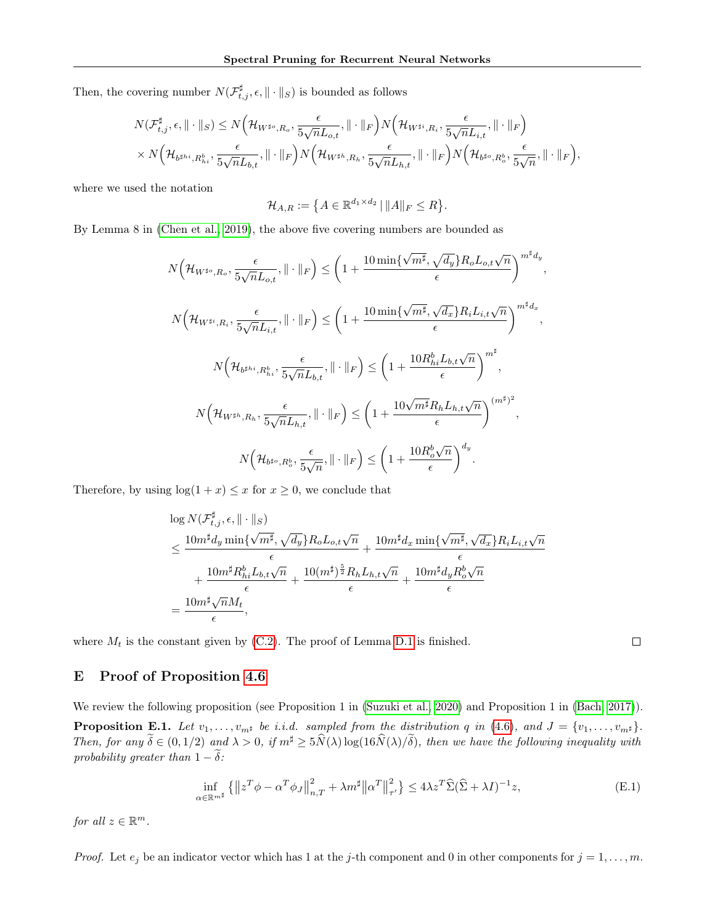Then, the covering number  $N(\mathcal{F}^\sharp_{t,j}, \epsilon, \|\cdot\|_S)$  is bounded as follows

$$
N(\mathcal{F}_{t,j}^{\sharp}, \epsilon, \|\cdot\|_{S}) \leq N\Big(\mathcal{H}_{W^{\sharp o}, R_o}, \frac{\epsilon}{5\sqrt{n}L_{o,t}}, \|\cdot\|_{F}\Big)N\Big(\mathcal{H}_{W^{\sharp i}, R_i}, \frac{\epsilon}{5\sqrt{n}L_{i,t}}, \|\cdot\|_{F}\Big)\\ \times N\Big(\mathcal{H}_{b^{\sharp h i}, R_{hi}^b}, \frac{\epsilon}{5\sqrt{n}L_{b,t}}, \|\cdot\|_{F}\Big)N\Big(\mathcal{H}_{W^{\sharp h}, R_h}, \frac{\epsilon}{5\sqrt{n}L_{h,t}}, \|\cdot\|_{F}\Big)N\Big(\mathcal{H}_{b^{\sharp o}, R_o^b}, \frac{\epsilon}{5\sqrt{n}}, \|\cdot\|_{F}\Big),
$$

where we used the notation

$$
\mathcal{H}_{A,R} := \big\{ A \in \mathbb{R}^{d_1 \times d_2} \, | \, \|A\|_F \le R \big\}.
$$

By Lemma 8 in [\(Chen et al., 2019\)](#page-9-17), the above five covering numbers are bounded as

$$
N\left(\mathcal{H}_{W^{\sharp o},R_o},\frac{\epsilon}{5\sqrt{n}L_{o,t}},\|\cdot\|_{F}\right) \leq \left(1 + \frac{10\min\{\sqrt{m^{\sharp}},\sqrt{d_y}\}R_{o}L_{o,t}\sqrt{n}}{\epsilon}\right)^{m^{\sharp}d_y},
$$
  

$$
N\left(\mathcal{H}_{W^{\sharp i},R_i},\frac{\epsilon}{5\sqrt{n}L_{i,t}},\|\cdot\|_{F}\right) \leq \left(1 + \frac{10\min\{\sqrt{m^{\sharp}},\sqrt{d_x}\}R_{i}L_{i,t}\sqrt{n}}{\epsilon}\right)^{m^{\sharp}d_x},
$$
  

$$
N\left(\mathcal{H}_{b^{\sharp h i},R_{hi}^b},\frac{\epsilon}{5\sqrt{n}L_{b,t}},\|\cdot\|_{F}\right) \leq \left(1 + \frac{10R_{hi}^bL_{b,t}\sqrt{n}}{\epsilon}\right)^{m^{\sharp}},
$$
  

$$
N\left(\mathcal{H}_{W^{\sharp h},R_h},\frac{\epsilon}{5\sqrt{n}L_{h,t}},\|\cdot\|_{F}\right) \leq \left(1 + \frac{10\sqrt{m^{\sharp}}R_{h}L_{h,t}\sqrt{n}}{\epsilon}\right)^{(m^{\sharp})^2},
$$
  

$$
N\left(\mathcal{H}_{b^{\sharp o},R_o^b},\frac{\epsilon}{5\sqrt{n}},\|\cdot\|_{F}\right) \leq \left(1 + \frac{10R_o^b\sqrt{n}}{\epsilon}\right)^{d_y}.
$$

Therefore, by using  $\log(1 + x) \leq x$  for  $x \geq 0$ , we conclude that

$$
\log N(\mathcal{F}_{t,j}^{\sharp}, \epsilon, \|\cdot\|_{S})
$$
\n
$$
\leq \frac{10m^{\sharp}d_{y} \min\{\sqrt{m^{\sharp}}, \sqrt{d_{y}}\}R_{o}L_{o,t}\sqrt{n}}{\epsilon} + \frac{10m^{\sharp}d_{x} \min\{\sqrt{m^{\sharp}}, \sqrt{d_{x}}\}R_{i}L_{i,t}\sqrt{n}}{\epsilon} + \frac{10m^{\sharp}R_{hi}^{b}L_{b,t}\sqrt{n}}{\epsilon} + \frac{10(m^{\sharp})^{\frac{5}{2}}R_{h}L_{h,t}\sqrt{n}}{\epsilon} + \frac{10m^{\sharp}d_{y}R_{o}^{b}\sqrt{n}}{\epsilon}
$$
\n
$$
= \frac{10m^{\sharp}\sqrt{n}M_{t}}{\epsilon},
$$

where  $M_t$  is the constant given by [\(C.2\)](#page-15-1). The proof of Lemma [D.1](#page-17-0) is finished.

## <span id="page-19-0"></span>E Proof of Proposition [4.6](#page-5-7)

<span id="page-19-1"></span>We review the following proposition (see Proposition 1 in [\(Suzuki et al., 2020\)](#page-10-8) and Proposition 1 in [\(Bach, 2017\)](#page-8-3). **Proposition E.1.** Let  $v_1, \ldots, v_{m^{\sharp}}$  be i.i.d. sampled from the distribution q in [\(4.6\)](#page-5-4), and  $J = \{v_1, \ldots, v_{m^{\sharp}}\}.$ Then, for any  $\widetilde{\delta} \in (0, 1/2)$  and  $\lambda > 0$ , if  $m^{\sharp} \geq 5\widehat{N}(\lambda) \log(16\widehat{N}(\lambda)/\widetilde{\delta})$ , then we have the following inequality with probability greater than  $1 - \tilde{\delta}$ :

<span id="page-19-2"></span>
$$
\inf_{\alpha \in \mathbb{R}^{m^{\sharp}}} \left\{ \left\| z^{T} \phi - \alpha^{T} \phi_{J} \right\|_{n,T}^{2} + \lambda m^{\sharp} \left\| \alpha^{T} \right\|_{\tau'}^{2} \right\} \le 4\lambda z^{T} \widehat{\Sigma} (\widehat{\Sigma} + \lambda I)^{-1} z, \tag{E.1}
$$

for all  $z \in \mathbb{R}^m$ .

*Proof.* Let  $e_j$  be an indicator vector which has 1 at the j-th component and 0 in other components for  $j = 1, ..., m$ .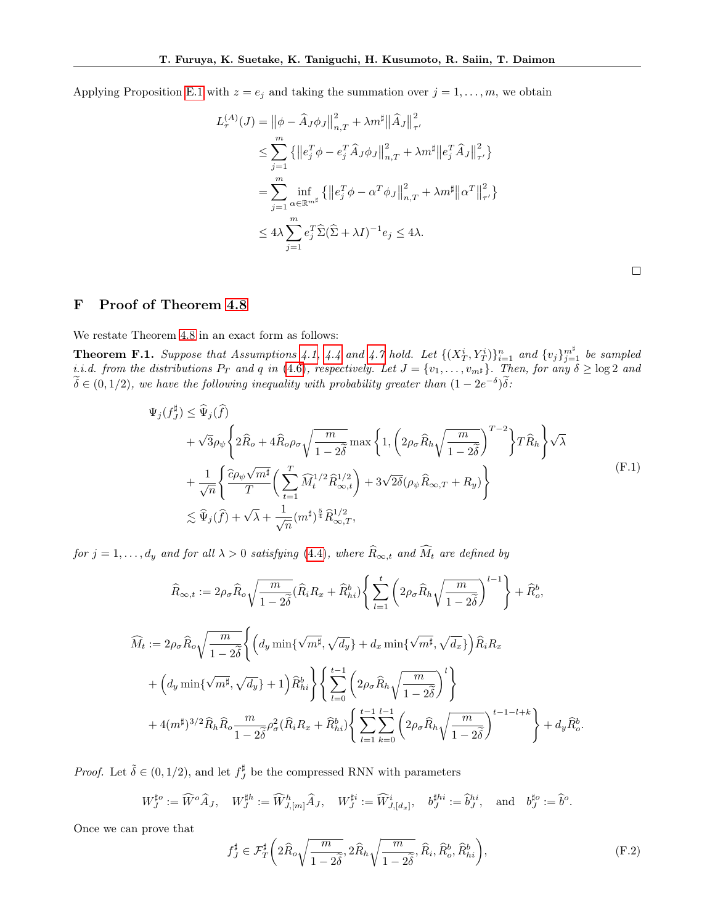Applying Proposition [E.1](#page-19-1) with  $z = e_j$  and taking the summation over  $j = 1, \ldots, m$ , we obtain

$$
L_{\tau}^{(A)}(J) = ||\phi - \hat{A}_{J}\phi_{J}||_{n,T}^{2} + \lambda m^{\sharp} ||\hat{A}_{J}||_{\tau'}^{2}
$$
  
\n
$$
\leq \sum_{j=1}^{m} \{ ||e_{j}^{T}\phi - e_{j}^{T}\hat{A}_{J}\phi_{J}||_{n,T}^{2} + \lambda m^{\sharp} ||e_{j}^{T}\hat{A}_{J}||_{\tau'}^{2} \}
$$
  
\n
$$
= \sum_{j=1}^{m} \inf_{\alpha \in \mathbb{R}^{m^{\sharp}}} \{ ||e_{j}^{T}\phi - \alpha^{T}\phi_{J}||_{n,T}^{2} + \lambda m^{\sharp} ||\alpha^{T}||_{\tau'}^{2} \}
$$
  
\n
$$
\leq 4\lambda \sum_{j=1}^{m} e_{j}^{T} \hat{\Sigma}(\hat{\Sigma} + \lambda I)^{-1} e_{j} \leq 4\lambda.
$$

#### <span id="page-20-1"></span>F Proof of Theorem [4.8](#page-6-1)

We restate Theorem [4.8](#page-6-1) in an exact form as follows:

<span id="page-20-0"></span>**Theorem F.1.** Suppose that Assumptions [4.1,](#page-4-3) [4.4](#page-5-2) and [4.7](#page-6-4) hold. Let  $\{(X_T^i, Y_T^i)\}_{i=1}^n$  and  $\{v_j\}_{j=1}^{m^{\sharp}}$  be sampled *i.i.d.* from the distributions  $P_T$  and q in [\(4.6\)](#page-5-4), respectively. Let  $J = \{v_1, \ldots, v_{m^{\sharp}}\}$ . Then, for any  $\delta \ge \log 2$  and  $\widetilde{\delta} \in (0,1/2)$ , we have the following inequality with probability greater than  $(1 - 2e^{-\delta})\widetilde{\delta}$ :

$$
\Psi_{j}(f_{J}^{\sharp}) \leq \widehat{\Psi}_{j}(\widehat{f})
$$
\n
$$
+ \sqrt{3}\rho_{\psi} \left\{ 2\widehat{R}_{o} + 4\widehat{R}_{o}\rho_{\sigma}\sqrt{\frac{m}{1 - 2\delta}} \max\left\{ 1, \left( 2\rho_{\sigma}\widehat{R}_{h}\sqrt{\frac{m}{1 - 2\delta}} \right)^{T-2} \right\} T\widehat{R}_{h} \right\} \sqrt{\lambda}
$$
\n
$$
+ \frac{1}{\sqrt{n}} \left\{ \frac{\widehat{c}\rho_{\psi}\sqrt{m^{\sharp}}}{T} \left( \sum_{t=1}^{T} \widehat{M}_{t}^{1/2}\widehat{R}_{\infty,t}^{1/2} \right) + 3\sqrt{2\delta}(\rho_{\psi}\widehat{R}_{\infty,T} + R_{y}) \right\}
$$
\n
$$
\lesssim \widehat{\Psi}_{j}(\widehat{f}) + \sqrt{\lambda} + \frac{1}{\sqrt{n}} (m^{\sharp})^{\frac{5}{4}} \widehat{R}_{\infty,T}^{1/2}, \tag{F.1}
$$

<span id="page-20-2"></span>for  $j = 1, \ldots, d_y$  and for all  $\lambda > 0$  satisfying [\(4.4\)](#page-5-5), where  $\widehat{R}_{\infty,t}$  and  $\widehat{M}_t$  are defined by

$$
\widehat{R}_{\infty,t} := 2\rho_{\sigma}\widehat{R}_{o}\sqrt{\frac{m}{1-2\tilde{\delta}}}(\widehat{R}_{i}R_{x} + \widehat{R}_{hi}^{b})\left\{\sum_{l=1}^{t}\left(2\rho_{\sigma}\widehat{R}_{h}\sqrt{\frac{m}{1-2\tilde{\delta}}}\right)^{l-1}\right\} + \widehat{R}_{o}^{b},
$$
\n
$$
\widehat{M}_{t} := 2\rho_{\sigma}\widehat{R}_{o}\sqrt{\frac{m}{1-2\tilde{\delta}}}\left\{\left(d_{y}\min\{\sqrt{m^{\sharp}}, \sqrt{d_{y}}\} + d_{x}\min\{\sqrt{m^{\sharp}}, \sqrt{d_{x}}\}\right)\widehat{R}_{i}R_{x} + \left(d_{y}\min\{\sqrt{m^{\sharp}}, \sqrt{d_{y}}\} + 1\right)\widehat{R}_{hi}^{b}\right\}\left\{\sum_{l=0}^{t-1}\left(2\rho_{\sigma}\widehat{R}_{h}\sqrt{\frac{m}{1-2\tilde{\delta}}}\right)^{l}\right\}
$$
\n
$$
+ 4(m^{\sharp})^{3/2}\widehat{R}_{h}\widehat{R}_{o}\frac{m}{1-2\tilde{\delta}}\rho_{\sigma}^{2}(\widehat{R}_{i}R_{x} + \widehat{R}_{hi}^{b})\left\{\sum_{l=1}^{t-1}\sum_{k=0}^{l-1}\left(2\rho_{\sigma}\widehat{R}_{h}\sqrt{\frac{m}{1-2\tilde{\delta}}}\right)^{t-1-l+k}\right\} + d_{y}\widehat{R}_{o}^{b}.
$$

*Proof.* Let  $\tilde{\delta} \in (0, 1/2)$ , and let  $f_J^{\sharp}$  be the compressed RNN with parameters

$$
W_J^{\sharp o}:=\widehat W^o\widehat A_J,\quad W_J^{\sharp h}:=\widehat W^h_{J,[m]}\widehat A_J,\quad W_J^{\sharp i}:=\widehat W^i_{J,[d_x]},\quad b_J^{\sharp hi}:=\widehat b_J^{hi},\quad\text{and}\quad b_J^{\sharp o}:=\widehat b^o.
$$

Once we can prove that

<span id="page-20-3"></span>
$$
f_J^{\sharp} \in \mathcal{F}_T^{\sharp} \left( 2 \widehat{R}_o \sqrt{\frac{m}{1 - 2\widetilde{\delta}}}, 2 \widehat{R}_h \sqrt{\frac{m}{1 - 2\widetilde{\delta}}}, \widehat{R}_i, \widehat{R}_o^b, \widehat{R}_{hi}^b \right), \tag{F.2}
$$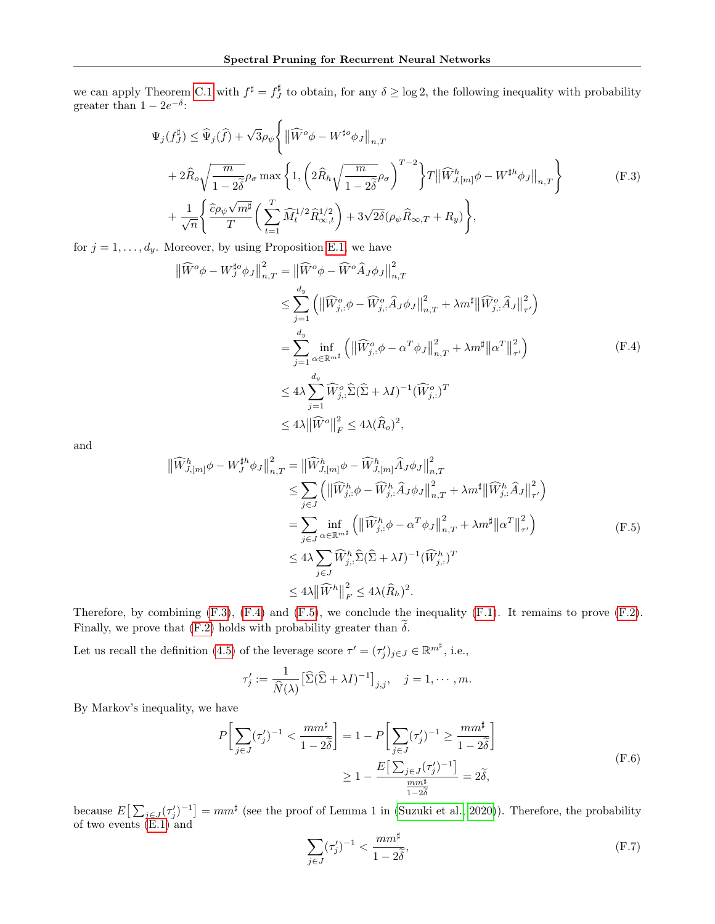we can apply Theorem [C.1](#page-14-0) with  $f^{\sharp} = f^{\sharp}_J$  to obtain, for any  $\delta \ge \log 2$ , the following inequality with probability greater than  $1 - 2e^{-\delta}$ :

$$
\Psi_{j}(f_{J}^{\sharp}) \leq \widehat{\Psi}_{j}(\widehat{f}) + \sqrt{3}\rho_{\psi} \left\{ \left\| \widehat{W}^{o}\phi - W^{\sharp o}\phi_{J} \right\|_{n,T} \right. \n+ 2\widehat{R}_{o}\sqrt{\frac{m}{1-2\widetilde{\delta}}}\rho_{\sigma} \max\left\{ 1, \left( 2\widehat{R}_{h}\sqrt{\frac{m}{1-2\widetilde{\delta}}}\rho_{\sigma} \right)^{T-2} \right\} T \left\| \widehat{W}_{J,[m]}^{h}\phi - W^{\sharp h}\phi_{J} \right\|_{n,T} \right\} \n+ \frac{1}{\sqrt{n}} \left\{ \frac{\widehat{c}\rho_{\psi}\sqrt{m^{\sharp}}}{T} \left( \sum_{t=1}^{T} \widehat{M}_{t}^{1/2} \widehat{R}_{\infty,t}^{1/2} \right) + 3\sqrt{2\delta}(\rho_{\psi}\widehat{R}_{\infty,T} + R_{y}) \right\},
$$
\n(F.3)

<span id="page-21-1"></span><span id="page-21-0"></span>for  $j = 1, \ldots, d_y$ . Moreover, by using Proposition [E.1,](#page-19-1) we have

$$
\begin{split}\n\|\widehat{W}^o \phi - W_J^{\sharp o} \phi_J\|_{n,T}^2 &= \|\widehat{W}^o \phi - \widehat{W}^o \widehat{A}_J \phi_J\|_{n,T}^2 \\
&\leq \sum_{j=1}^{d_y} \left( \|\widehat{W}_{j,:}^o \phi - \widehat{W}_{j,:}^o \widehat{A}_J \phi_J\|_{n,T}^2 + \lambda m^{\sharp} \|\widehat{W}_{j,:}^o \widehat{A}_J\|_{\tau'}^2 \right) \\
&= \sum_{j=1}^{d_y} \inf_{\alpha \in \mathbb{R}^{m^{\sharp}}} \left( \|\widehat{W}_{j,:}^o \phi - \alpha^T \phi_J\|_{n,T}^2 + \lambda m^{\sharp} \|\alpha^T\|_{\tau'}^2 \right) \\
&\leq 4\lambda \sum_{j=1}^{d_y} \widehat{W}_{j,:}^o \widehat{\Sigma}(\widehat{\Sigma} + \lambda I)^{-1} (\widehat{W}_{j,:}^o)^T \\
&\leq 4\lambda \|\widehat{W}^o\|_F^2 \leq 4\lambda (\widehat{R}_o)^2,\n\end{split} \tag{F.4}
$$

<span id="page-21-2"></span>and

$$
\begin{split}\n\|\widehat{W}_{J,[m]}^{h}\phi - W_{J}^{\sharp h}\phi_{J}\|_{n,T}^{2} &= \|\widehat{W}_{J,[m]}^{h}\phi - \widehat{W}_{J,[m]}^{h}\widehat{A}_{J}\phi_{J}\|_{n,T}^{2} \\
&\leq \sum_{j\in J} \left( \|\widehat{W}_{j,:}^{h}\phi - \widehat{W}_{j,:}^{h}\widehat{A}_{J}\phi_{J}\|_{n,T}^{2} + \lambda m^{\sharp} \|\widehat{W}_{j,:}^{h}\widehat{A}_{J}\|_{\tau'}^{2} \right) \\
&= \sum_{j\in J} \inf_{\alpha \in \mathbb{R}^{m^{\sharp}}} \left( \|\widehat{W}_{j,:}^{h}\phi - \alpha^{T}\phi_{J}\|_{n,T}^{2} + \lambda m^{\sharp} \|\alpha^{T}\|_{\tau'}^{2} \right) \\
&\leq 4\lambda \sum_{j\in J} \widehat{W}_{j,:}^{h}\widehat{\Sigma}(\widehat{\Sigma} + \lambda I)^{-1}(\widehat{W}_{j,:}^{h})^{T} \\
&\leq 4\lambda \|\widehat{W}^{h}\|_{F}^{2} \leq 4\lambda(\widehat{R}_{h})^{2}.\n\end{split} \tag{F.5}
$$

Therefore, by combining  $(F.3)$ ,  $(F.4)$  and  $(F.5)$ , we conclude the inequality  $(F.1)$ . It remains to prove  $(F.2)$ . Finally, we prove that [\(F.2\)](#page-20-3) holds with probability greater than  $\delta$ .

Let us recall the definition [\(4.5\)](#page-5-8) of the leverage score  $\tau' = (\tau'_j)_{j \in J} \in \mathbb{R}^{m^{\sharp}}$ , i.e.,

$$
\tau'_j := \frac{1}{\widehat{N}(\lambda)} \left[ \widehat{\Sigma} (\widehat{\Sigma} + \lambda I)^{-1} \right]_{j,j}, \quad j = 1, \cdots, m.
$$

<span id="page-21-3"></span>By Markov's inequality, we have

$$
P\left[\sum_{j\in J}(\tau'_j)^{-1} < \frac{mm^{\sharp}}{1-2\tilde{\delta}}\right] = 1 - P\left[\sum_{j\in J}(\tau'_j)^{-1} \ge \frac{mm^{\sharp}}{1-2\tilde{\delta}}\right]
$$
\n
$$
\ge 1 - \frac{E\left[\sum_{j\in J}(\tau'_j)^{-1}\right]}{\frac{mm^{\sharp}}{1-2\tilde{\delta}}} = 2\tilde{\delta},\tag{F.6}
$$

because  $E\left[\sum_{j\in J}(\tau'_j)^{-1}\right] = mm^{\sharp}$  (see the proof of Lemma 1 in [\(Suzuki et al., 2020\)](#page-10-8)). Therefore, the probability of two events [\(E.1\)](#page-19-2) and

<span id="page-21-4"></span>
$$
\sum_{j \in J} (\tau_j')^{-1} < \frac{mm^{\sharp}}{1 - 2\tilde{\delta}},\tag{F.7}
$$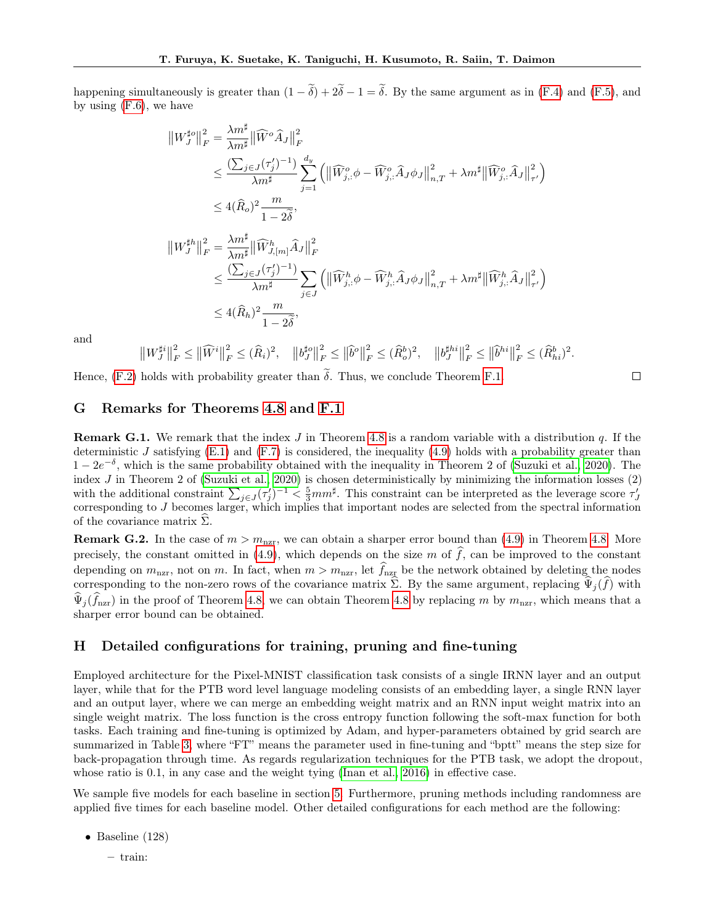happening simultaneously is greater than  $(1 - \tilde{\delta}) + 2\tilde{\delta} - 1 = \tilde{\delta}$ . By the same argument as in [\(F.4\)](#page-21-1) and [\(F.5\)](#page-21-2), and by using [\(F.6\)](#page-21-3), we have

$$
\|W_J^{\sharp_0}\|_F^2 = \frac{\lambda m^{\sharp}}{\lambda m^{\sharp}} \|\widehat{W}^o \widehat{A}_J\|_F^2
$$
  
\n
$$
\leq \frac{(\sum_{j\in J} (\tau_j')^{-1})}{\lambda m^{\sharp}} \sum_{j=1}^{d_y} \left( \|\widehat{W}_{j,\cdot}^o \phi - \widehat{W}_{j,\cdot}^o \widehat{A}_J \phi_J\|_{n,T}^2 + \lambda m^{\sharp} \|\widehat{W}_{j,\cdot}^o \widehat{A}_J\|_{\tau'}^2 \right)
$$
  
\n
$$
\leq 4(\widehat{R}_o)^2 \frac{m}{1-2\delta},
$$
  
\n
$$
\|W_J^{\sharp h}\|_F^2 = \frac{\lambda m^{\sharp}}{\lambda m^{\sharp}} \|\widehat{W}_{J,[m]}^h \widehat{A}_J\|_F^2
$$
  
\n
$$
\leq \frac{(\sum_{j\in J} (\tau_j')^{-1})}{\lambda m^{\sharp}} \sum_{j\in J} \left( \|\widehat{W}_{j,\cdot}^h \phi - \widehat{W}_{j,\cdot}^h \widehat{A}_J \phi_J\|_{n,T}^2 + \lambda m^{\sharp} \|\widehat{W}_{j,\cdot}^h \widehat{A}_J\|_{\tau'}^2 \right)
$$
  
\n
$$
\leq 4(\widehat{R}_h)^2 \frac{m}{1-2\delta},
$$

and

$$
\left\|W_{J}^{\sharp i}\right\|_{F}^{2} \leq \left\|\widehat{W}^{i}\right\|_{F}^{2} \leq (\widehat{R}_{i})^{2}, \quad \left\|b_{J}^{\sharp o}\right\|_{F}^{2} \leq \left\|\widehat{b}^{o}\right\|_{F}^{2} \leq (\widehat{R}_{o}^{b})^{2}, \quad \left\|b_{J}^{\sharp hi}\right\|_{F}^{2} \leq \left\|\widehat{b}^{hi}\right\|_{F}^{2} \leq (\widehat{R}_{hi}^{b})^{2}.
$$

 $\Box$ 

Hence,  $(F.2)$  holds with probability greater than  $\delta$ . Thus, we conclude Theorem [F.1.](#page-20-0)

#### <span id="page-22-0"></span>G Remarks for Theorems [4.8](#page-6-1) and [F.1](#page-20-0)

**Remark G.1.** We remark that the index J in Theorem [4.8](#page-6-1) is a random variable with a distribution q. If the deterministic J satisfying  $(E.1)$  and  $(F.7)$  is considered, the inequality  $(4.9)$  holds with a probability greater than  $1-2e^{-\delta}$ , which is the same probability obtained with the inequality in Theorem 2 of [\(Suzuki et al., 2020\)](#page-10-8). The index  $J$  in Theorem 2 of [\(Suzuki et al., 2020\)](#page-10-8) is chosen deterministically by minimizing the information losses  $(2)$ with the additional constraint  $\sum_{j\in J}(\tau'_j)^{-1} < \frac{5}{3}mm^{\sharp}$ . This constraint can be interpreted as the leverage score  $\tau'_J$ corresponding to J becomes larger, which implies that important nodes are selected from the spectral information of the covariance matrix  $\hat{\Sigma}$ .

**Remark G.2.** In the case of  $m > m<sub>nz</sub>$ , we can obtain a sharper error bound than [\(4.9\)](#page-6-5) in Theorem [4.8.](#page-6-1) More precisely, the constant omitted in [\(4.9\)](#page-6-5), which depends on the size m of  $\hat{f}$ , can be improved to the constant depending on  $m_{\text{nzr}}$ , not on m. In fact, when  $m > m_{\text{nzr}}$ , let  $\widehat{f}_{\text{nzr}}$  be the network obtained by deleting the nodes corresponding to the non-zero rows of the covariance matrix  $\hat{\Sigma}$ . By the same argument, replacing  $\hat{\Psi}_j(\hat{f})$  with  $\widehat{\Psi}_{i}(\widehat{f}_{n zr})$  in the proof of Theorem [4.8,](#page-6-1) we can obtain Theorem [4.8](#page-6-1) by replacing m by  $m_{\text{nzr}}$ , which means that a sharper error bound can be obtained.

#### <span id="page-22-1"></span>H Detailed configurations for training, pruning and fine-tuning

Employed architecture for the Pixel-MNIST classification task consists of a single IRNN layer and an output layer, while that for the PTB word level language modeling consists of an embedding layer, a single RNN layer and an output layer, where we can merge an embedding weight matrix and an RNN input weight matrix into an single weight matrix. The loss function is the cross entropy function following the soft-max function for both tasks. Each training and fine-tuning is optimized by Adam, and hyper-parameters obtained by grid search are summarized in Table [3,](#page-23-0) where "FT" means the parameter used in fine-tuning and "bptt" means the step size for back-propagation through time. As regards regularization techniques for the PTB task, we adopt the dropout, whose ratio is 0.1, in any case and the weight tying [\(Inan et al., 2016\)](#page-9-24) in effective case.

We sample five models for each baseline in section [5.](#page-6-8) Furthermore, pruning methods including randomness are applied five times for each baseline model. Other detailed configurations for each method are the following:

- Baseline (128)
	- train: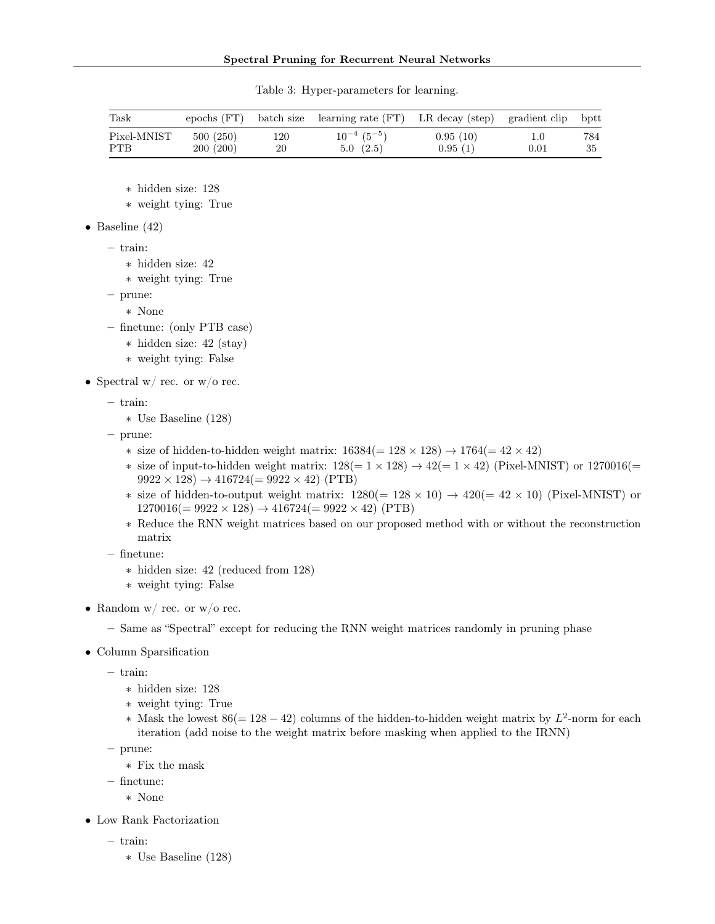<span id="page-23-0"></span>

| Task        |          |     | epochs (FT) batch size learning rate (FT) LR decay (step) gradient clip bptt |          |                  |     |
|-------------|----------|-----|------------------------------------------------------------------------------|----------|------------------|-----|
| Pixel-MNIST | 500(250) | 120 | $10^{-4}$ $(5^{-5})$                                                         | 0.95(10) | 1.0 <sub>1</sub> | 784 |
| <b>PTB</b>  | 200(200) | 20  | 5.0(2.5)                                                                     | 0.95(1)  | 0.01             | -35 |

Table 3: Hyper-parameters for learning.

∗ hidden size: 128

∗ weight tying: True

• Baseline  $(42)$ 

– train:

∗ hidden size: 42

∗ weight tying: True

– prune:

∗ None

– finetune: (only PTB case)

- ∗ hidden size: 42 (stay)
- ∗ weight tying: False
- Spectral w/ rec. or  $w/o$  rec.

– train:

∗ Use Baseline (128)

– prune:

- $\ast$  size of hidden-to-hidden weight matrix: 16384(= 128 × 128) → 1764(= 42 × 42)
- $\ast$  size of input-to-hidden weight matrix: 128(= 1 × 128) → 42(= 1 × 42) (Pixel-MNIST) or 1270016(=  $9922 \times 128$ )  $\rightarrow 416724 (= 9922 \times 42)$  (PTB)
- \* size of hidden-to-output weight matrix:  $1280(= 128 \times 10) \rightarrow 420(= 42 \times 10)$  (Pixel-MNIST) or  $1270016 (= 9922 \times 128) \rightarrow 416724 (= 9922 \times 42)$  (PTB)
- ∗ Reduce the RNN weight matrices based on our proposed method with or without the reconstruction matrix
- finetune:
	- ∗ hidden size: 42 (reduced from 128)
	- ∗ weight tying: False
- Random w/ rec. or  $w/o$  rec.
	- Same as "Spectral" except for reducing the RNN weight matrices randomly in pruning phase
- Column Sparsification

– train:

- ∗ hidden size: 128
- ∗ weight tying: True
- \* Mask the lowest  $86(= 128 42)$  columns of the hidden-to-hidden weight matrix by  $L^2$ -norm for each iteration (add noise to the weight matrix before masking when applied to the IRNN)

– prune:

- ∗ Fix the mask
- finetune:
	- ∗ None
- Low Rank Factorization
	- train:
		- ∗ Use Baseline (128)